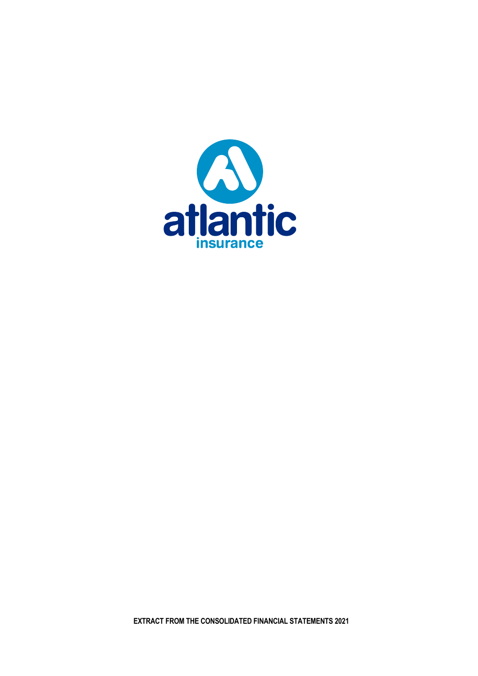

**EXTRACT FROM THE CONSOLIDATED FINANCIAL STATEMENTS 2021**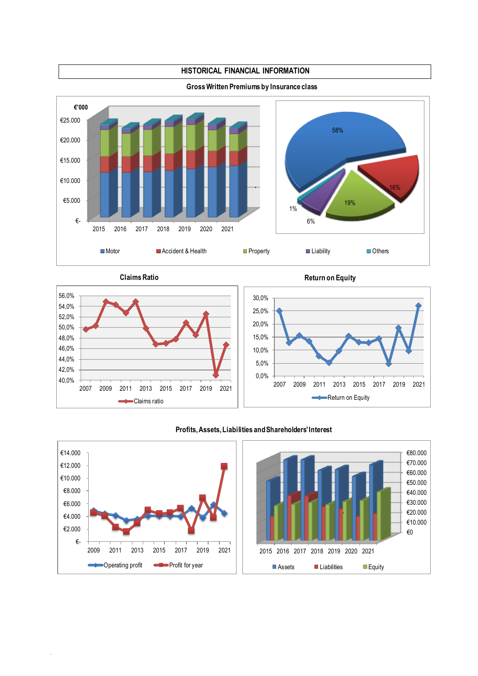

.

**Claims Ratio Return on Equity Return on Equity** 



## **Profits, Assets, Liabilities and Shareholders' Interest**



#### **Gross Written Premiums by Insurance class**

**HISTORICAL FINANCIAL INFORMATION**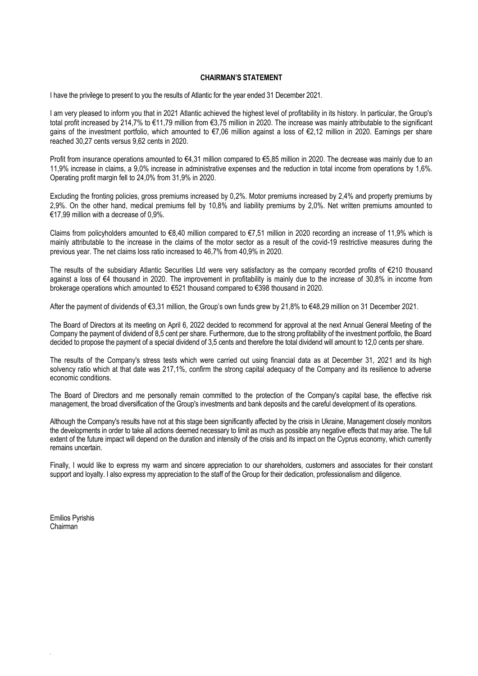## **CHAIRMAN'S STATEMENT**

I have the privilege to present to you the results of Atlantic for the year ended 31 December 2021.

I am very pleased to inform you that in 2021 Atlantic achieved the highest level of profitability in its history. In particular, the Group's total profit increased by 214,7% to €11,79 million from €3,75 million in 2020. The increase was mainly attributable to the significant gains of the investment portfolio, which amounted to €7,06 million against a loss of €2,12 million in 2020. Earnings per share reached 30,27 cents versus 9,62 cents in 2020.

Profit from insurance operations amounted to €4,31 million compared to €5,85 million in 2020. The decrease was mainly due to an 11,9% increase in claims, a 9,0% increase in administrative expenses and the reduction in total income from operations by 1,6%. Operating profit margin fell to 24,0% from 31,9% in 2020.

Excluding the fronting policies, gross premiums increased by 0,2%. Motor premiums increased by 2,4% and property premiums by 2,9%. On the other hand, medical premiums fell by 10,8% and liability premiums by 2,0%. Net written premiums amounted to €17,99 million with a decrease of 0,9%.

Claims from policyholders amounted to  $68,40$  million compared to  $67,51$  million in 2020 recording an increase of 11.9% which is mainly attributable to the increase in the claims of the motor sector as a result of the covid-19 restrictive measures during the previous year. The net claims loss ratio increased to 46,7% from 40,9% in 2020.

The results of the subsidiary Atlantic Securities Ltd were very satisfactory as the company recorded profits of €210 thousand against a loss of €4 thousand in 2020. The improvement in profitability is mainly due to the increase of 30,8% in income from brokerage operations which amounted to €521 thousand compared to €398 thousand in 2020.

After the payment of dividends of €3,31 million, the Group's own funds grew by 21,8% to €48,29 million on 31 December 2021.

The Board of Directors at its meeting on April 6, 2022 decided to recommend for approval at the next Annual General Meeting of the Company the payment of dividend of 8,5 cent per share. Furthermore, due to the strong profitability of the investment portfolio, the Board decided to propose the payment of a special dividend of 3,5 cents and therefore the total dividend will amount to 12,0 cents per share.

The results of the Company's stress tests which were carried out using financial data as at December 31, 2021 and its high solvency ratio which at that date was 217,1%, confirm the strong capital adequacy of the Company and its resilience to adverse economic conditions.

The Board of Directors and me personally remain committed to the protection of the Company's capital base, the effective risk management, the broad diversification of the Group's investments and bank deposits and the careful development of its operations.

Although the Company's results have not at this stage been significantly affected by the crisis in Ukraine, Management closely monitors the developments in order to take all actions deemed necessary to limit as much as possible any negative effects that may arise. The full extent of the future impact will depend on the duration and intensity of the crisis and its impact on the Cyprus economy, which currently remains uncertain.

Finally, I would like to express my warm and sincere appreciation to our shareholders, customers and associates for their constant support and loyalty. I also express my appreciation to the staff of the Group for their dedication, professionalism and diligence.

Emilios Pyrishis Chairman

.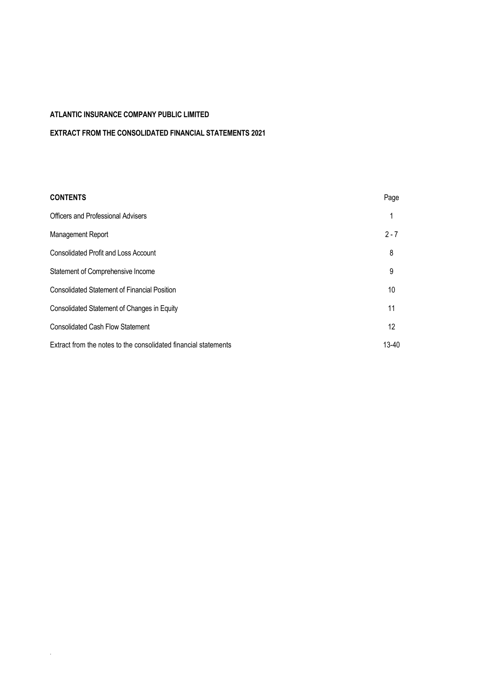.

# **EXTRACT FROM THE CONSOLIDATED FINANCIAL STATEMENTS 2021**

| <b>CONTENTS</b>                                                 | Page    |
|-----------------------------------------------------------------|---------|
| Officers and Professional Advisers                              | 1       |
| Management Report                                               | $2 - 7$ |
| <b>Consolidated Profit and Loss Account</b>                     | 8       |
| Statement of Comprehensive Income                               | 9       |
| <b>Consolidated Statement of Financial Position</b>             | 10      |
| Consolidated Statement of Changes in Equity                     | 11      |
| <b>Consolidated Cash Flow Statement</b>                         | 12      |
| Extract from the notes to the consolidated financial statements | 13-40   |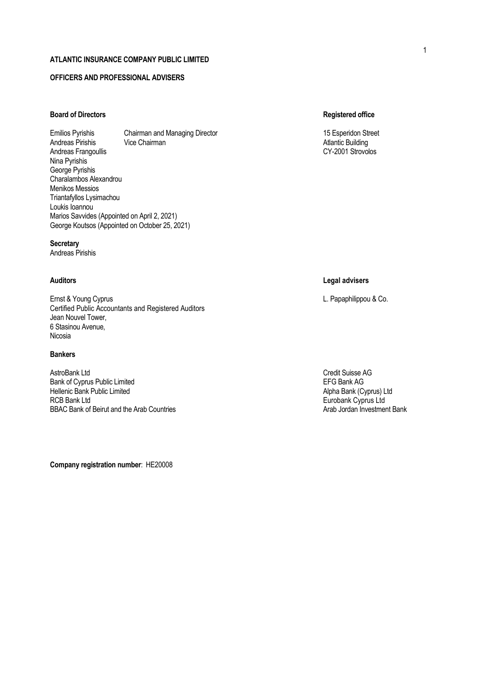# **OFFICERS AND PROFESSIONAL ADVISERS**

## **Board of Directors Registered office**

Emilios Pyrishis Chairman and Managing Director 15 Esperidon Street 15 Esperidon Street Andreas Pirishis Vice Chairman Atlantic Building Andreas Frangoullis Nina Pyrishis George Pyrishis Charalambos Alexandrou Menikos Messios Triantafyllos Lysimachou Loukis Ioannou Marios Savvides (Appointed on April 2, 2021) George Koutsos (Appointed on October 25, 2021)

## **Secretary**

Andreas Pirishis

Ernst & Young Cyprus L. Papaphilippou & Co. Certified Public Accountants and Registered Auditors Jean Nouvel Tower, 6 Stasinou Avenue, Nicosia

#### **Bankers**

AstroBank Ltd<br>Bank of Cvorus Public Limited<br>Bank of Cvorus Public Limited Bank of Cyprus Public Limited<br>
Hellenic Bank AG<br>
Hellenic Bank Public Limited 
Secure 2021 1999 12:00 The Superior Cyprus Alpha Bank (Cyprus) Ltd Hellenic Bank Public Limited<br>RCB Bank Ltd BBAC Bank of Beirut and the Arab Countries

**Company registration number**: ΗΕ20008

## **Auditors Legal advisers**

Eurobank Cyprus Ltd<br>Arab Jordan Investment Bank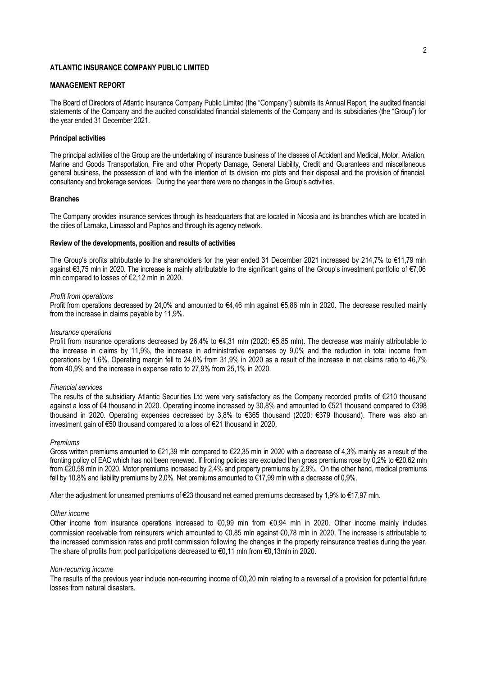## **MANAGEMENT REPORT**

The Board of Directors of Atlantic Insurance Company Public Limited (the "Company") submits its Annual Report, the audited financial statements of the Company and the audited consolidated financial statements of the Company and its subsidiaries (the "Group") for the year ended 31 December 2021.

#### **Principal activities**

The principal activities of the Group are the undertaking of insurance business of the classes of Accident and Medical, Motor, Aviation, Marine and Goods Transportation, Fire and other Property Damage, General Liability, Credit and Guarantees and miscellaneous general business, the possession of land with the intention of its division into plots and their disposal and the provision of financial, consultancy and brokerage services. During the year there were no changes in the Group's activities.

#### **Branches**

The Company provides insurance services through its headquarters that are located in Nicosia and its branches which are located in the cities of Larnaka, Limassol and Paphos and through its agency network.

#### **Review of the developments, position and results of activities**

The Group's profits attributable to the shareholders for the year ended 31 December 2021 increased by 214,7% to €11,79 mln against €3,75 mln in 2020. The increase is mainly attributable to the significant gains of the Group's investment portfolio of €7,06 mln compared to losses of €2,12 mln in 2020.

#### *Profit from operations*

Profit from operations decreased by 24.0% and amounted to €4.46 mln against €5.86 mln in 2020. The decrease resulted mainly from the increase in claims payable by 11,9%.

#### *Insurance operations*

Profit from insurance operations decreased by 26,4% to €4,31 mln (2020: €5,85 mln). The decrease was mainly attributable to the increase in claims by 11,9%, the increase in administrative expenses by 9,0% and the reduction in total income from operations by 1,6%. Operating margin fell to 24,0% from 31,9% in 2020 as a result of the increase in net claims ratio to 46,7% from 40,9% and the increase in expense ratio to 27,9% from 25,1% in 2020.

#### *Financial services*

The results of the subsidiary Atlantic Securities Ltd were very satisfactory as the Company recorded profits of €210 thousand against a loss of €4 thousand in 2020. Operating income increased by 30,8% and amounted to €521 thousand compared to €398 thousand in 2020. Operating expenses decreased by 3,8% to €365 thousand (2020: €379 thousand). There was also an investment gain of €50 thousand compared to a loss of €21 thousand in 2020.

#### *Premiums*

Gross written premiums amounted to €21,39 mln compared to €22,35 mln in 2020 with a decrease of 4,3% mainly as a result of the fronting policy of EAC which has not been renewed. If fronting policies are excluded then gross premiums rose by 0,2% to €20,62 mln from €20,58 mln in 2020. Motor premiums increased by 2,4% and property premiums by 2,9%. On the other hand, medical premiums fell by 10,8% and liability premiums by 2,0%. Net premiums amounted to €17,99 mln with a decrease of 0,9%.

After the adjustment for unearned premiums of €23 thousand net earned premiums decreased by 1,9% to €17,97 mln.

#### *Other income*

Other income from insurance operations increased to €0,99 mln from €0,94 mln in 2020. Other income mainly includes commission receivable from reinsurers which amounted to €0,85 mln against €0,78 mln in 2020. The increase is attributable to the increased commission rates and profit commission following the changes in the property reinsurance treaties during the year. The share of profits from pool participations decreased to €0,11 mln from €0,13mln in 2020.

#### *Non-recurring income*

The results of the previous year include non-recurring income of €0,20 mln relating to a reversal of a provision for potential future losses from natural disasters.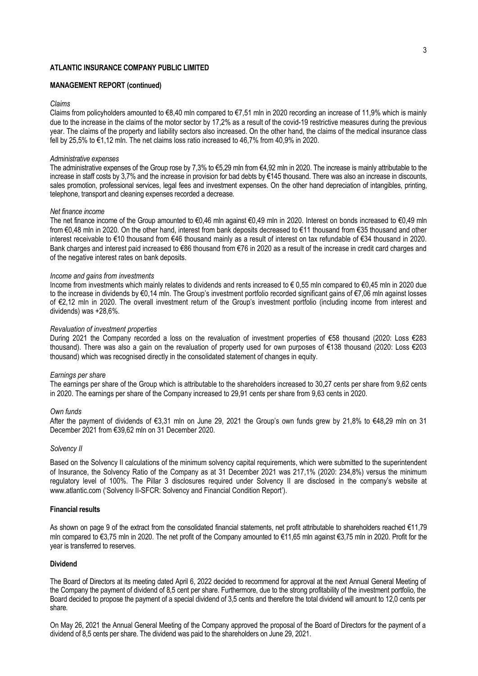## **MANAGEMENT REPORT (continued)**

#### *Claims*

Claims from policyholders amounted to  $\epsilon 8.40$  mln compared to  $\epsilon 7.51$  mln in 2020 recording an increase of 11.9% which is mainly due to the increase in the claims of the motor sector by 17,2% as a result of the covid-19 restrictive measures during the previous year. The claims of the property and liability sectors also increased. On the other hand, the claims of the medical insurance class fell by 25,5% to €1,12 mln. The net claims loss ratio increased to 46,7% from 40,9% in 2020.

#### *Administrative expenses*

The administrative expenses of the Group rose by 7,3% to €5,29 mln from €4,92 mln in 2020. The increase is mainly attributable to the increase in staff costs by 3,7% and the increase in provision for bad debts by €145 thousand. There was also an increase in discounts, sales promotion, professional services, legal fees and investment expenses. On the other hand depreciation of intangibles, printing, telephone, transport and cleaning expenses recorded a decrease.

#### *Net finance income*

The net finance income of the Group amounted to €0,46 mln against €0,49 mln in 2020. Interest on bonds increased to €0,49 mln from €0,48 mln in 2020. On the other hand, interest from bank deposits decreased to €11 thousand from €35 thousand and other interest receivable to €10 thousand from €46 thousand mainly as a result of interest on tax refundable of €34 thousand in 2020. Bank charges and interest paid increased to €86 thousand from €76 in 2020 as a result of the increase in credit card charges and of the negative interest rates on bank deposits.

#### *Income and gains from investments*

Income from investments which mainly relates to dividends and rents increased to € 0,55 mln compared to €0,45 mln in 2020 due to the increase in dividends by €0,14 mln. The Group's investment portfolio recorded significant gains of €7,06 mln against losses of €2,12 mln in 2020. The overall investment return of the Group's investment portfolio (including income from interest and dividends) was +28,6%.

#### *Revaluation of investment properties*

During 2021 the Company recorded a loss on the revaluation of investment properties of €58 thousand (2020: Loss €283 thousand). There was also a gain on the revaluation of property used for own purposes of €138 thousand (2020: Loss €203 thousand) which was recognised directly in the consolidated statement of changes in equity.

#### *Earnings per share*

The earnings per share of the Group which is attributable to the shareholders increased to 30,27 cents per share from 9,62 cents in 2020. The earnings per share of the Company increased to 29,91 cents per share from 9,63 cents in 2020.

#### *Own funds*

After the payment of dividends of €3,31 mln on June 29, 2021 the Group's own funds grew by 21,8% to €48,29 mln on 31 December 2021 from €39,62 mln on 31 December 2020.

#### *Solvency II*

Based on the Solvency II calculations of the minimum solvency capital requirements, which were submitted to the superintendent of Insurance, the Solvency Ratio of the Company as at 31 December 2021 was 217,1% (2020: 234,8%) versus the minimum regulatory level of 100%. The Pillar 3 disclosures required under Solvency II are disclosed in the company's website at www.atlantic.com ('Solvency II-SFCR: Solvency and Financial Condition Report').

#### **Financial results**

As shown on page 9 of the extract from the consolidated financial statements, net profit attributable to shareholders reached €11,79 mln compared to €3,75 mln in 2020. The net profit of the Company amounted to €11,65 mln against €3,75 mln in 2020. Profit for the year is transferred to reserves.

### **Dividend**

The Board of Directors at its meeting dated April 6, 2022 decided to recommend for approval at the next Annual General Meeting of the Company the payment of dividend of 8,5 cent per share. Furthermore, due to the strong profitability of the investment portfolio, the Board decided to propose the payment of a special dividend of 3,5 cents and therefore the total dividend will amount to 12,0 cents per share.

On May 26, 2021 the Annual General Meeting of the Company approved the proposal of the Board of Directors for the payment of a dividend of 8,5 cents per share. The dividend was paid to the shareholders on June 29, 2021.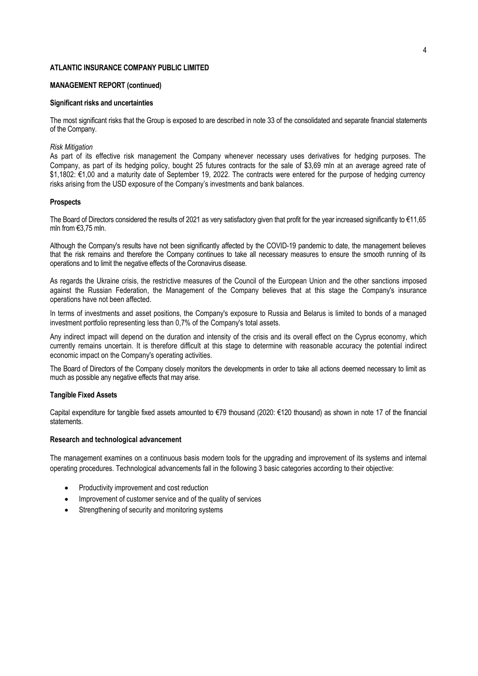#### **MANAGEMENT REPORT (continued)**

#### **Significant risks and uncertainties**

The most significant risks that the Group is exposed to are described in note 33 of the consolidated and separate financial statements of the Company.

#### *Risk Mitigation*

As part of its effective risk management the Company whenever necessary uses derivatives for hedging purposes. The Company, as part of its hedging policy, bought 25 futures contracts for the sale of \$3,69 mln at an average agreed rate of \$1,1802: €1,00 and a maturity date of September 19, 2022. The contracts were entered for the purpose of hedging currency risks arising from the USD exposure of the Company's investments and bank balances.

#### **Prospects**

The Board of Directors considered the results of 2021 as very satisfactory given that profit for the year increased significantly to €11,65 mln from €3,75 mln.

Although the Company's results have not been significantly affected by the COVID-19 pandemic to date, the management believes that the risk remains and therefore the Company continues to take all necessary measures to ensure the smooth running of its operations and to limit the negative effects of the Coronavirus disease.

As regards the Ukraine crisis, the restrictive measures of the Council of the European Union and the other sanctions imposed against the Russian Federation, the Management of the Company believes that at this stage the Company's insurance operations have not been affected.

In terms of investments and asset positions, the Company's exposure to Russia and Belarus is limited to bonds of a managed investment portfolio representing less than 0,7% of the Company's total assets.

Any indirect impact will depend on the duration and intensity of the crisis and its overall effect on the Cyprus economy, which currently remains uncertain. It is therefore difficult at this stage to determine with reasonable accuracy the potential indirect economic impact on the Company's operating activities.

The Board of Directors of the Company closely monitors the developments in order to take all actions deemed necessary to limit as much as possible any negative effects that may arise.

#### **Tangible Fixed Assets**

Capital expenditure for tangible fixed assets amounted to €79 thousand (2020: €120 thousand) as shown in note 17 of the financial statements.

#### **Research and technological advancement**

The management examines on a continuous basis modern tools for the upgrading and improvement of its systems and internal operating procedures. Technological advancements fall in the following 3 basic categories according to their objective:

- Productivity improvement and cost reduction
- Improvement of customer service and of the quality of services
- Strengthening of security and monitoring systems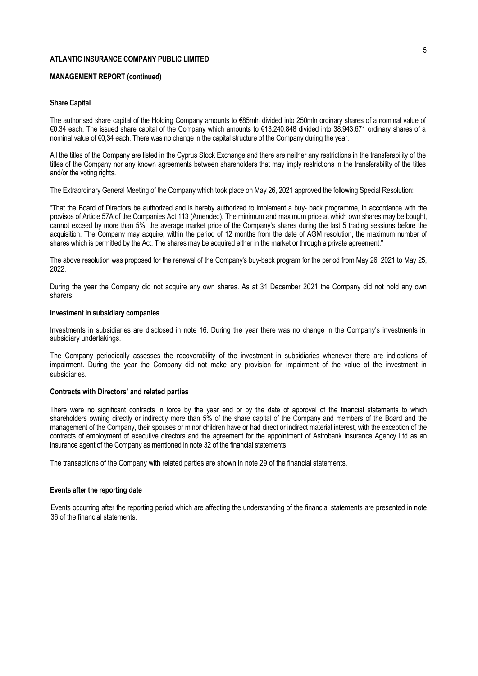## **MANAGEMENT REPORT (continued)**

#### **Share Capital**

The authorised share capital of the Holding Company amounts to €85mln divided into 250mln ordinary shares of a nominal value of €0,34 each. The issued share capital of the Company which amounts to €13.240.848 divided into 38.943.671 ordinary shares of a nominal value of €0,34 each. There was no change in the capital structure of the Company during the year.

All the titles of the Company are listed in the Cyprus Stock Exchange and there are neither any restrictions in the transferability of the titles of the Company nor any known agreements between shareholders that may imply restrictions in the transferability of the titles and/or the voting rights.

The Extraordinary General Meeting of the Company which took place on May 26, 2021 approved the following Special Resolution:

"That the Board of Directors be authorized and is hereby authorized to implement a buy- back programme, in accordance with the provisos of Article 57A of the Companies Act 113 (Amended). The minimum and maximum price at which own shares may be bought, cannot exceed by more than 5%, the average market price of the Company's shares during the last 5 trading sessions before the acquisition. The Company may acquire, within the period of 12 months from the date of AGM resolution, the maximum number of shares which is permitted by the Act. The shares may be acquired either in the market or through a private agreement.''

The above resolution was proposed for the renewal of the Company's buy-back program for the period from May 26, 2021 to May 25, 2022.

During the year the Company did not acquire any own shares. As at 31 December 2021 the Company did not hold any own sharers.

#### **Investment in subsidiary companies**

Investments in subsidiaries are disclosed in note 16. During the year there was no change in the Company's investments in subsidiary undertakings.

The Company periodically assesses the recoverability of the investment in subsidiaries whenever there are indications of impairment. During the year the Company did not make any provision for impairment of the value of the investment in subsidiaries.

#### **Contracts with Directors' and related parties**

There were no significant contracts in force by the year end or by the date of approval of the financial statements to which shareholders owning directly or indirectly more than 5% of the share capital of the Company and members of the Board and the management of the Company, their spouses or minor children have or had direct or indirect material interest, with the exception of the contracts of employment of executive directors and the agreement for the appointment of Astrobank Insurance Agency Ltd as an insurance agent of the Company as mentioned in note 32 of the financial statements.

The transactions of the Company with related parties are shown in note 29 of the financial statements.

#### **Events after the reporting date**

Events occurring after the reporting period which are affecting the understanding of the financial statements are presented in note 36 of the financial statements.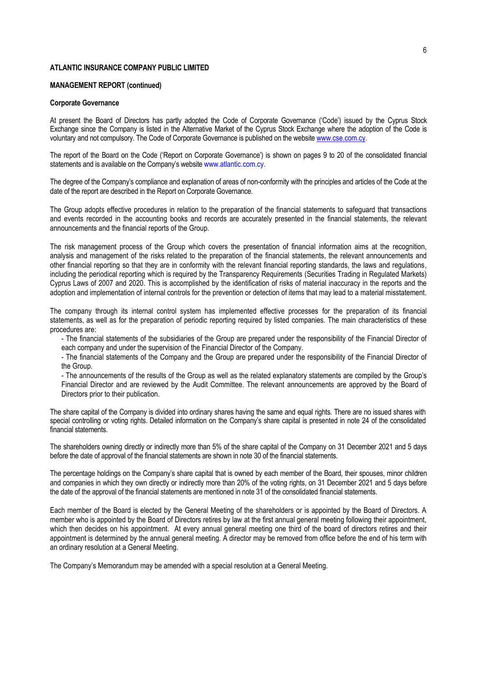#### **MANAGEMENT REPORT (continued)**

#### **Corporate Governance**

At present the Board of Directors has partly adopted the Code of Corporate Governance ('Code') issued by the Cyprus Stock Exchange since the Company is listed in the Alternative Market of the Cyprus Stock Exchange where the adoption of the Code is voluntary and not compulsory. The Code of Corporate Governance is published on the websit[e www.cse.com.cy.](http://www.cse.com.cy/)

The report of the Board on the Code ('Report on Corporate Governance') is shown on pages 9 to 20 of the consolidated financial statements and is available on the Company's website www.atlantic.com.cy.

The degree of the Company's compliance and explanation of areas of non-conformity with the principles and articles of the Code at the date of the report are described in the Report on Corporate Governance.

The Group adopts effective procedures in relation to the preparation of the financial statements to safeguard that transactions and events recorded in the accounting books and records are accurately presented in the financial statements, the relevant announcements and the financial reports of the Group.

The risk management process of the Group which covers the presentation of financial information aims at the recognition, analysis and management of the risks related to the preparation of the financial statements, the relevant announcements and other financial reporting so that they are in conformity with the relevant financial reporting standards, the laws and regulations, including the periodical reporting which is required by the Transparency Requirements (Securities Trading in Regulated Markets) Cyprus Laws of 2007 and 2020. This is accomplished by the identification of risks of material inaccuracy in the reports and the adoption and implementation of internal controls for the prevention or detection of items that may lead to a material misstatement.

The company through its internal control system has implemented effective processes for the preparation of its financial statements, as well as for the preparation of periodic reporting required by listed companies. The main characteristics of these procedures are:

- The financial statements of the subsidiaries of the Group are prepared under the responsibility of the Financial Director of each company and under the supervision of the Financial Director of the Company.

- The financial statements of the Company and the Group are prepared under the responsibility of the Financial Director of the Group.

- The announcements of the results of the Group as well as the related explanatory statements are compiled by the Group's Financial Director and are reviewed by the Audit Committee. The relevant announcements are approved by the Board of Directors prior to their publication.

The share capital of the Company is divided into ordinary shares having the same and equal rights. There are no issued shares with special controlling or voting rights. Detailed information on the Company's share capital is presented in note 24 of the consolidated financial statements.

The shareholders owning directly or indirectly more than 5% of the share capital of the Company on 31 December 2021 and 5 days before the date of approval of the financial statements are shown in note 30 of the financial statements.

The percentage holdings on the Company's share capital that is owned by each member of the Board, their spouses, minor children and companies in which they own directly or indirectly more than 20% of the voting rights, on 31 December 2021 and 5 days before the date of the approval of the financial statements are mentioned in note 31 of the consolidated financial statements.

Each member of the Board is elected by the General Meeting of the shareholders or is appointed by the Board of Directors. A member who is appointed by the Board of Directors retires by law at the first annual general meeting following their appointment, which then decides on his appointment. At every annual general meeting one third of the board of directors retires and their appointment is determined by the annual general meeting. A director may be removed from office before the end of his term with an ordinary resolution at a General Meeting.

The Company's Memorandum may be amended with a special resolution at a General Meeting.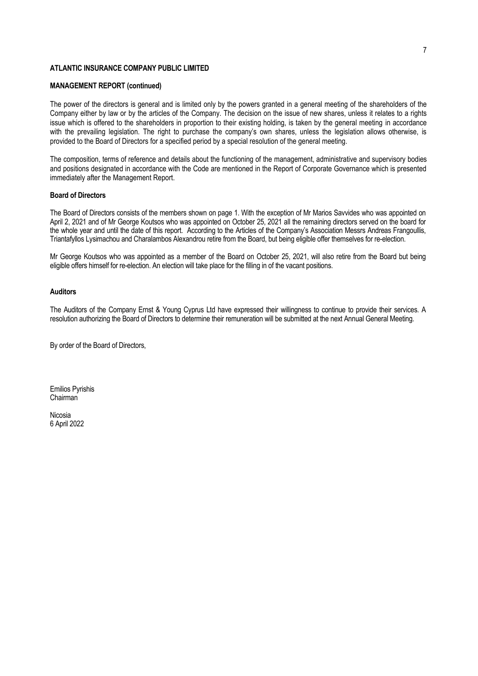## **MANAGEMENT REPORT (continued)**

The power of the directors is general and is limited only by the powers granted in a general meeting of the shareholders of the Company either by law or by the articles of the Company. The decision on the issue of new shares, unless it relates to a rights issue which is offered to the shareholders in proportion to their existing holding, is taken by the general meeting in accordance with the prevailing legislation. The right to purchase the company's own shares, unless the legislation allows otherwise, is provided to the Board of Directors for a specified period by a special resolution of the general meeting.

The composition, terms of reference and details about the functioning of the management, administrative and supervisory bodies and positions designated in accordance with the Code are mentioned in the Report of Corporate Governance which is presented immediately after the Management Report.

## **Board of Directors**

The Board of Directors consists of the members shown on page 1. With the exception of Mr Marios Savvides who was appointed on April 2, 2021 and of Mr George Koutsos who was appointed on October 25, 2021 all the remaining directors served on the board for the whole year and until the date of this report. According to the Articles of the Company's Association Messrs Andreas Frangoullis, Triantafyllos Lysimachou and Charalambos Alexandrou retire from the Board, but being eligible offer themselves for re-election.

Mr George Koutsos who was appointed as a member of the Board on October 25, 2021, will also retire from the Board but being eligible offers himself for re-election. An election will take place for the filling in of the vacant positions.

## **Auditors**

The Auditors of the Company Ernst & Young Cyprus Ltd have expressed their willingness to continue to provide their services. A resolution authorizing the Board of Directors to determine their remuneration will be submitted at the next Annual General Meeting.

By order of the Board of Directors,

Emilios Pyrishis Chairman

Nicosia 6 April 2022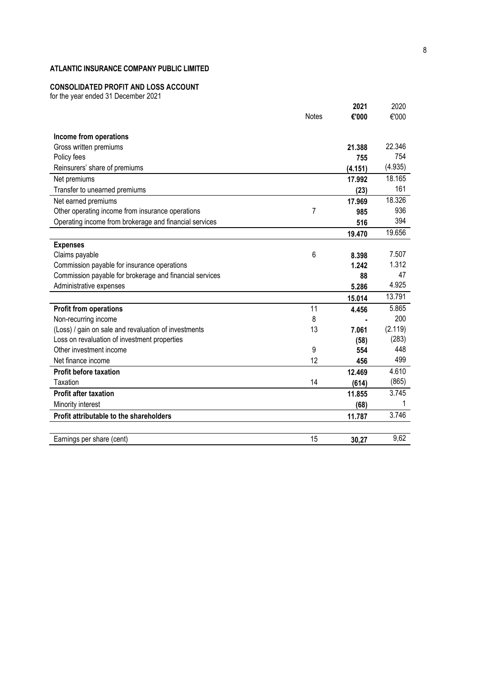# **CONSOLIDATED PROFIT AND LOSS ACCOUNT**

for the year ended 31 December 202 1

|                                                         |              | 2021    | 2020    |
|---------------------------------------------------------|--------------|---------|---------|
|                                                         | <b>Notes</b> | €'000   | €'000   |
|                                                         |              |         |         |
| Income from operations                                  |              |         |         |
| Gross written premiums                                  |              | 21.388  | 22.346  |
| Policy fees                                             |              | 755     | 754     |
| Reinsurers' share of premiums                           |              | (4.151) | (4.935) |
| Net premiums                                            |              | 17.992  | 18.165  |
| Transfer to unearned premiums                           |              | (23)    | 161     |
| Net earned premiums                                     |              | 17.969  | 18.326  |
| Other operating income from insurance operations        | 7            | 985     | 936     |
| Operating income from brokerage and financial services  |              | 516     | 394     |
|                                                         |              | 19.470  | 19.656  |
| <b>Expenses</b>                                         |              |         |         |
| Claims payable                                          | 6            | 8.398   | 7.507   |
| Commission payable for insurance operations             |              | 1.242   | 1.312   |
| Commission payable for brokerage and financial services |              | 88      | 47      |
| Administrative expenses                                 |              | 5.286   | 4.925   |
|                                                         |              | 15.014  | 13.791  |
| <b>Profit from operations</b>                           | 11           | 4.456   | 5.865   |
| Non-recurring income                                    | 8            |         | 200     |
| (Loss) / gain on sale and revaluation of investments    | 13           | 7.061   | (2.119) |
| Loss on revaluation of investment properties            |              | (58)    | (283)   |
| Other investment income                                 | 9            | 554     | 448     |
| Net finance income                                      | 12           | 456     | 499     |
| <b>Profit before taxation</b>                           |              | 12.469  | 4.610   |
| Taxation                                                | 14           | (614)   | (865)   |
| <b>Profit after taxation</b>                            |              | 11.855  | 3.745   |
| Minority interest                                       |              | (68)    | 1       |
| Profit attributable to the shareholders                 |              | 11.787  | 3.746   |
|                                                         |              |         |         |
| Earnings per share (cent)                               | 15           | 30,27   | 9,62    |
|                                                         |              |         |         |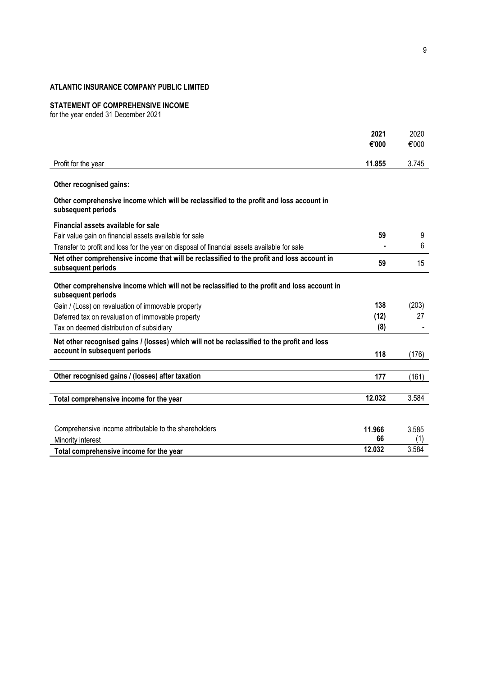#### **STATEMENT OF COMPREHENSIVE INCOME**

for the year ended 31 December 2021

|                                                                                                                   | 2021   | 2020  |
|-------------------------------------------------------------------------------------------------------------------|--------|-------|
|                                                                                                                   | €'000  | €'000 |
| Profit for the year                                                                                               | 11.855 | 3.745 |
|                                                                                                                   |        |       |
| Other recognised gains:                                                                                           |        |       |
| Other comprehensive income which will be reclassified to the profit and loss account in<br>subsequent periods     |        |       |
| Financial assets available for sale                                                                               |        |       |
| Fair value gain on financial assets available for sale                                                            | 59     | 9     |
| Transfer to profit and loss for the year on disposal of financial assets available for sale                       |        | 6     |
| Net other comprehensive income that will be reclassified to the profit and loss account in<br>subsequent periods  | 59     | 15    |
| Other comprehensive income which will not be reclassified to the profit and loss account in<br>subsequent periods |        |       |
| Gain / (Loss) on revaluation of immovable property                                                                | 138    | (203) |
| Deferred tax on revaluation of immovable property                                                                 | (12)   | 27    |
| Tax on deemed distribution of subsidiary                                                                          | (8)    |       |
| Net other recognised gains / (losses) which will not be reclassified to the profit and loss                       |        |       |
| account in subsequent periods                                                                                     | 118    | (176) |
|                                                                                                                   |        |       |
| Other recognised gains / (losses) after taxation                                                                  | 177    | (161) |
| Total comprehensive income for the year                                                                           | 12.032 | 3.584 |
|                                                                                                                   |        |       |
| Comprehensive income attributable to the shareholders                                                             | 11.966 | 3.585 |
| Minority interest                                                                                                 | 66     | (1)   |
| Total comprehensive income for the year                                                                           | 12.032 | 3.584 |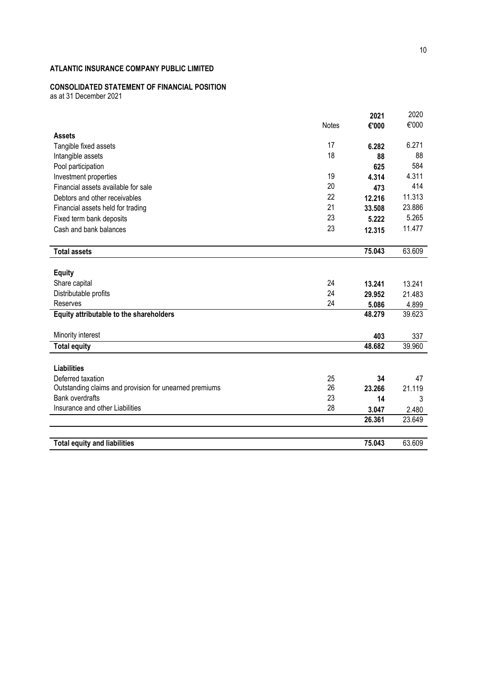# **CONSOLIDATED STATEMENT OF FINANCIAL POSITION**

as at 31 December 2021

|                                                        |              | 2021   | 2020   |
|--------------------------------------------------------|--------------|--------|--------|
|                                                        | <b>Notes</b> | €'000  | €'000  |
| <b>Assets</b>                                          |              |        |        |
| Tangible fixed assets                                  | 17           | 6.282  | 6.271  |
| Intangible assets                                      | 18           | 88     | 88     |
| Pool participation                                     |              | 625    | 584    |
| Investment properties                                  | 19           | 4.314  | 4.311  |
| Financial assets available for sale                    | 20           | 473    | 414    |
| Debtors and other receivables                          | 22           | 12.216 | 11.313 |
| Financial assets held for trading                      | 21           | 33.508 | 23.886 |
| Fixed term bank deposits                               | 23           | 5.222  | 5.265  |
| Cash and bank balances                                 | 23           | 12.315 | 11.477 |
| <b>Total assets</b>                                    |              | 75.043 | 63.609 |
| <b>Equity</b>                                          |              |        |        |
| Share capital                                          | 24           | 13.241 | 13.241 |
| Distributable profits                                  | 24           | 29.952 | 21.483 |
| Reserves                                               | 24           | 5.086  | 4.899  |
| Equity attributable to the shareholders                |              | 48.279 | 39.623 |
| Minority interest                                      |              | 403    | 337    |
| <b>Total equity</b>                                    |              | 48.682 | 39.960 |
| <b>Liabilities</b>                                     |              |        |        |
| Deferred taxation                                      | 25           | 34     | 47     |
| Outstanding claims and provision for unearned premiums | 26           | 23.266 | 21.119 |
| <b>Bank overdrafts</b>                                 | 23           | 14     | 3      |
| Insurance and other Liabilities                        | 28           | 3.047  | 2.480  |
|                                                        |              | 26.361 | 23.649 |
| <b>Total equity and liabilities</b>                    |              | 75.043 | 63.609 |
|                                                        |              |        |        |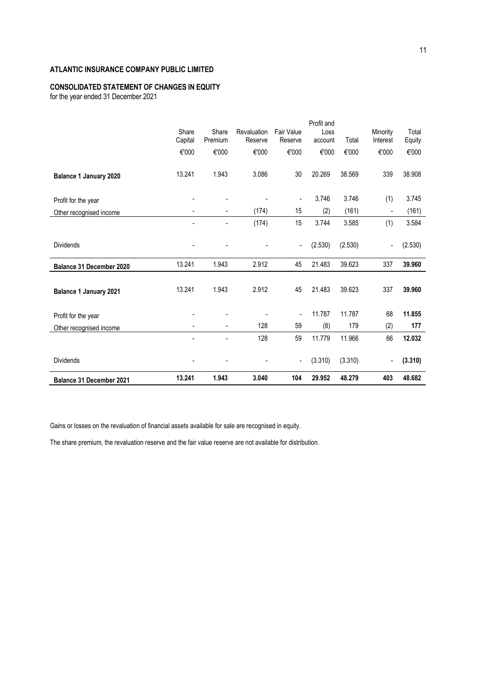# **CONSOLIDATED STATEMENT OF CHANGES IN EQUITY**

for the year ended 31 December 2021

|                                 |         |                          |                        |                              | Profit and |         |                          |         |
|---------------------------------|---------|--------------------------|------------------------|------------------------------|------------|---------|--------------------------|---------|
|                                 | Share   | Share<br>Premium         | Revaluation<br>Reserve | <b>Fair Value</b><br>Reserve | Loss       | Total   | Minority<br>Interest     | Total   |
|                                 | Capital |                          |                        |                              | account    |         |                          | Equity  |
|                                 | €'000   | €'000                    | €'000                  | €'000                        | €'000      | €'000   | €'000                    | €'000   |
|                                 |         |                          |                        |                              |            |         |                          |         |
| <b>Balance 1 January 2020</b>   | 13.241  | 1.943                    | 3.086                  | 30                           | 20.269     | 38.569  | 339                      | 38.908  |
|                                 |         |                          |                        |                              |            |         |                          |         |
| Profit for the year             |         |                          |                        | $\overline{\phantom{0}}$     | 3.746      | 3.746   | (1)                      | 3.745   |
| Other recognised income         |         | ٠                        | (174)                  | 15                           | (2)        | (161)   | $\overline{\phantom{0}}$ | (161)   |
|                                 |         |                          | (174)                  | 15                           | 3.744      | 3.585   | (1)                      | 3.584   |
|                                 |         |                          |                        |                              |            |         |                          |         |
| <b>Dividends</b>                |         |                          |                        | ٠                            | (2.530)    | (2.530) | $\overline{\phantom{a}}$ | (2.530) |
|                                 |         |                          |                        |                              |            |         |                          |         |
| Balance 31 December 2020        | 13.241  | 1.943                    | 2.912                  | 45                           | 21.483     | 39.623  | 337                      | 39.960  |
|                                 |         |                          |                        |                              |            |         |                          |         |
| <b>Balance 1 January 2021</b>   | 13.241  | 1.943                    | 2.912                  | 45                           | 21.483     | 39.623  | 337                      | 39.960  |
|                                 |         |                          |                        |                              |            |         |                          |         |
| Profit for the year             |         |                          |                        | ٠                            | 11.787     | 11.787  | 68                       | 11.855  |
| Other recognised income         |         | $\overline{\phantom{0}}$ | 128                    | 59                           | (8)        | 179     | (2)                      | 177     |
|                                 |         |                          | 128                    | 59                           | 11.779     | 11.966  | 66                       | 12.032  |
|                                 |         |                          |                        |                              |            |         |                          |         |
| <b>Dividends</b>                |         |                          |                        | -                            | (3.310)    | (3.310) | $\overline{\phantom{a}}$ | (3.310) |
|                                 |         |                          |                        |                              |            |         |                          |         |
| <b>Balance 31 December 2021</b> | 13.241  | 1.943                    | 3.040                  | 104                          | 29.952     | 48.279  | 403                      | 48.682  |

Gains or losses on the revaluation of financial assets available for sale are recognised in equity.

The share premium, the revaluation reserve and the fair value reserve are not available for distribution.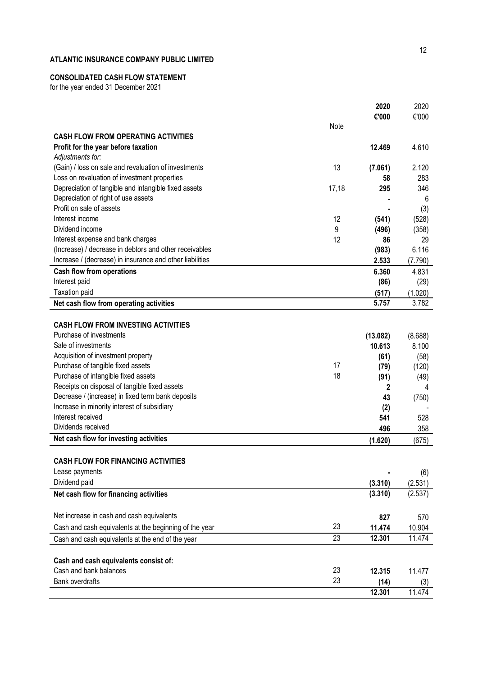# **CONSOLIDATED CASH FLOW STATEMENT**

for the year ended 31 December 202 1

|                                                          |       | 2020<br>€'000 | 2020<br>€'000 |
|----------------------------------------------------------|-------|---------------|---------------|
|                                                          | Note  |               |               |
| <b>CASH FLOW FROM OPERATING ACTIVITIES</b>               |       |               |               |
| Profit for the year before taxation                      |       | 12.469        | 4.610         |
| Adjustments for:                                         |       |               |               |
| (Gain) / loss on sale and revaluation of investments     | 13    | (7.061)       | 2.120         |
| Loss on revaluation of investment properties             |       | 58            | 283           |
| Depreciation of tangible and intangible fixed assets     | 17,18 | 295           | 346           |
| Depreciation of right of use assets                      |       |               | 6             |
| Profit on sale of assets                                 |       |               | (3)           |
| Interest income                                          | 12    | (541)         | (528)         |
| Dividend income                                          | 9     | (496)         | (358)         |
| Interest expense and bank charges                        | 12    | 86            | 29            |
| (Increase) / decrease in debtors and other receivables   |       | (983)         | 6.116         |
| Increase / (decrease) in insurance and other liabilities |       | 2.533         | (7.790)       |
| <b>Cash flow from operations</b>                         |       | 6.360         | 4.831         |
| Interest paid                                            |       | (86)          | (29)          |
| <b>Taxation paid</b>                                     |       | (517)         | (1.020)       |
| Net cash flow from operating activities                  |       | 5.757         | 3.782         |
|                                                          |       |               |               |
| <b>CASH FLOW FROM INVESTING ACTIVITIES</b>               |       |               |               |
| Purchase of investments                                  |       | (13.082)      | (8.688)       |
| Sale of investments                                      |       | 10.613        | 8.100         |
| Acquisition of investment property                       |       | (61)          | (58)          |
| Purchase of tangible fixed assets                        | 17    | (79)          | (120)         |
| Purchase of intangible fixed assets                      | 18    | (91)          | (49)          |
| Receipts on disposal of tangible fixed assets            |       | 2             | 4             |
| Decrease / (increase) in fixed term bank deposits        |       | 43            | (750)         |
| Increase in minority interest of subsidiary              |       | (2)           |               |
| Interest received                                        |       | 541           | 528           |
| Dividends received                                       |       | 496           | 358           |
| Net cash flow for investing activities                   |       | (1.620)       | (675)         |
|                                                          |       |               |               |
| <b>CASH FLOW FOR FINANCING ACTIVITIES</b>                |       |               |               |
| Lease payments                                           |       |               | (6)           |
| Dividend paid                                            |       | (3.310)       | (2.531)       |
| Net cash flow for financing activities                   |       | (3.310)       | (2.537)       |
|                                                          |       |               |               |
| Net increase in cash and cash equivalents                |       | 827           | 570           |
| Cash and cash equivalents at the beginning of the year   | 23    | 11.474        | 10.904        |
| Cash and cash equivalents at the end of the year         | 23    | 12.301        | 11.474        |
|                                                          |       |               |               |
| Cash and cash equivalents consist of:                    |       |               |               |
| Cash and bank balances                                   | 23    | 12.315        | 11.477        |
| <b>Bank overdrafts</b>                                   | 23    | (14)          | (3)           |
|                                                          |       | 12.301        | 11.474        |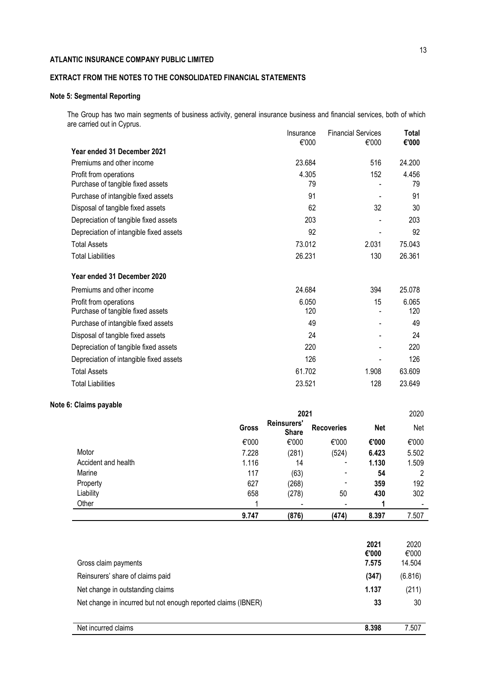# **EXTRACT FROM THE NOTES TO THE CONSOLIDATED FINANCIAL STATEMENTS**

# **Note 5: Segmental Reporting**

The Group has two main segments of business activity, general insurance business and financial services, both of which are carried out in Cyprus. Insurance Financial Services **Total**

|                                         | <b>Insurance</b><br>€'000 | <b>Financial Services</b><br>€'000 | Total<br>€'000 |
|-----------------------------------------|---------------------------|------------------------------------|----------------|
| Year ended 31 December 2021             |                           |                                    |                |
| Premiums and other income               | 23.684                    | 516                                | 24.200         |
| Profit from operations                  | 4.305                     | 152                                | 4.456          |
| Purchase of tangible fixed assets       | 79                        |                                    | 79             |
| Purchase of intangible fixed assets     | 91                        |                                    | 91             |
| Disposal of tangible fixed assets       | 62                        | 32                                 | 30             |
| Depreciation of tangible fixed assets   | 203                       |                                    | 203            |
| Depreciation of intangible fixed assets | 92                        |                                    | 92             |
| <b>Total Assets</b>                     | 73.012                    | 2.031                              | 75.043         |
| <b>Total Liabilities</b>                | 26.231                    | 130                                | 26.361         |
| Year ended 31 December 2020             |                           |                                    |                |
| Premiums and other income               | 24.684                    | 394                                | 25.078         |
| Profit from operations                  | 6.050                     | 15                                 | 6.065          |
| Purchase of tangible fixed assets       | 120                       |                                    | 120            |
| Purchase of intangible fixed assets     | 49                        |                                    | 49             |
| Disposal of tangible fixed assets       | 24                        |                                    | 24             |
| Depreciation of tangible fixed assets   | 220                       |                                    | 220            |
| Depreciation of intangible fixed assets | 126                       |                                    | 126            |
| <b>Total Assets</b>                     | 61.702                    | 1.908                              | 63.609         |
| <b>Total Liabilities</b>                | 23.521                    | 128                                | 23.649         |

## **Note 6: Claims payable**

|                     | 2021  |                             |                          | 2020       |       |
|---------------------|-------|-----------------------------|--------------------------|------------|-------|
|                     | Gross | Reinsurers'<br><b>Share</b> | <b>Recoveries</b>        | <b>Net</b> | Net   |
|                     | €'000 | €'000                       | €'000                    | €'000      | €'000 |
| Motor               | 7.228 | (281)                       | (524)                    | 6.423      | 5.502 |
| Accident and health | 1.116 | 14                          | $\overline{\phantom{a}}$ | 1.130      | 1.509 |
| Marine              | 117   | (63)                        | $\overline{\phantom{a}}$ | 54         | າ     |
| Property            | 627   | (268)                       | $\overline{\phantom{a}}$ | 359        | 192   |
| Liability           | 658   | (278)                       | 50                       | 430        | 302   |
| Other               |       |                             |                          |            |       |
|                     | 9.747 | (876)                       | (474)                    | 8.397      | 7.507 |

| Gross claim payments                                          | 2021<br>€'000<br>7.575 | 2020<br>€'000<br>14.504 |
|---------------------------------------------------------------|------------------------|-------------------------|
| Reinsurers' share of claims paid                              | (347)                  | (6.816)                 |
| Net change in outstanding claims                              | 1.137                  | (211)                   |
| Net change in incurred but not enough reported claims (IBNER) | 33                     | 30                      |
|                                                               |                        |                         |
| Net incurred claims                                           | 8.398                  | 7.507                   |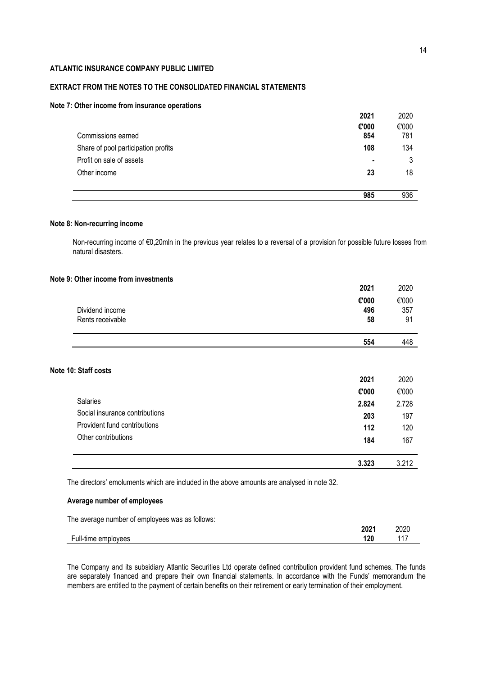## **EXTRACT FROM THE NOTES TO THE CONSOLIDATED FINANCIAL STATEMENTS**

#### **Note 7: Other income from insurance operations**

|                                     | 2021  | 2020  |
|-------------------------------------|-------|-------|
|                                     | €'000 | €'000 |
| Commissions earned                  | 854   | 781   |
| Share of pool participation profits | 108   | 134   |
| Profit on sale of assets            |       | 3     |
| Other income                        | 23    | 18    |
|                                     |       |       |
|                                     | 985   | 936   |

## **Note 8: Non-recurring income**

**Note** 

Non-recurring income of €0,20mln in the previous year relates to a reversal of a provision for possible future losses from natural disasters.

## **Note 9: Other income from investments**

|                                     | 2021               | 2020               |
|-------------------------------------|--------------------|--------------------|
| Dividend income<br>Rents receivable | €'000<br>496<br>58 | €'000<br>357<br>91 |
|                                     | 554                | 448                |
| 10: Staff costs                     | 2021               | 2020               |
|                                     |                    |                    |
| Salaries                            | €'000              | €'000              |
|                                     | 2.824              | 2.728              |
| Social insurance contributions      | 203                | 197                |
| Provident fund contributions        | 112                | 120                |
| Other contributions                 | 184                | 167                |
|                                     | 3.323              | 3.212              |

The directors' emoluments which are included in the above amounts are analysed in note 32.

## **Average number of employees**

The average number of employees was as follows: **2021** 2020 Full-time employees **120** 117

The Company and its subsidiary Atlantic Securities Ltd operate defined contribution provident fund schemes. The funds are separately financed and prepare their own financial statements. In accordance with the Funds' memorandum the members are entitled to the payment of certain benefits on their retirement or early termination of their employment.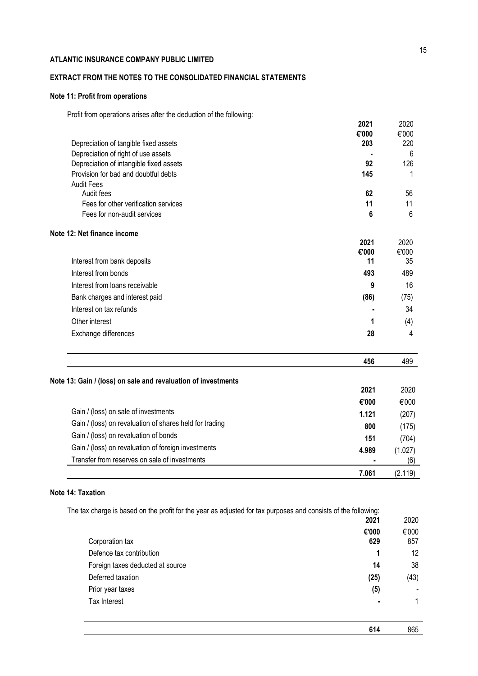# **EXTRACT FROM THE NOTES TO THE CONSOLIDATED FINANCIAL STATEMENTS**

## **Note 11: Profit from operations**

Profit from operations arises after the deduction of the following:

|                                         | 2021  | 2020  |
|-----------------------------------------|-------|-------|
|                                         | €'000 | €'000 |
| Depreciation of tangible fixed assets   | 203   | 220   |
| Depreciation of right of use assets     |       | 6     |
| Depreciation of intangible fixed assets | 92    | 126   |
| Provision for bad and doubtful debts    | 145   |       |
| <b>Audit Fees</b>                       |       |       |
| Audit fees                              | 62    | 56    |
| Fees for other verification services    | 11    | 11    |
| Fees for non-audit services             | 6     | 6     |
| Note 12: Net finance income             |       |       |
|                                         | 2021  | 2020  |
|                                         | €'000 | €'000 |
| Interest from bank deposits             | 11    | 35    |
| Interest from bonds                     | 493   | 489   |
| Interest from loans receivable          | 9     | 16    |
| Bank charges and interest paid          | (86)  | (75)  |
| Interest on tax refunds                 |       | 34    |

Other interest **1** (4) Exchange differences **28** 4

|                                                               | 456   | 499     |
|---------------------------------------------------------------|-------|---------|
| Note 13: Gain / (loss) on sale and revaluation of investments |       |         |
|                                                               | 2021  | 2020    |
|                                                               | €'000 | €'000   |
| Gain / (loss) on sale of investments                          | 1.121 | (207)   |
| Gain / (loss) on revaluation of shares held for trading       | 800   | (175)   |
| Gain / (loss) on revaluation of bonds                         | 151   | (704)   |
| Gain / (loss) on revaluation of foreign investments           | 4.989 | (1.027) |
| Transfer from reserves on sale of investments                 |       | (6)     |
|                                                               | 7.061 | (2.119) |

# **Note 14: Taxation**

The tax charge is based on the profit for the year as adjusted for tax purposes and consists of the following:

|                                  | 2021         | 2020                     |
|----------------------------------|--------------|--------------------------|
| Corporation tax                  | €'000<br>629 | €'000<br>857             |
| Defence tax contribution         | 1            | 12                       |
| Foreign taxes deducted at source | 14           | 38                       |
| Deferred taxation                | (25)         | (43)                     |
| Prior year taxes                 | (5)          | $\overline{\phantom{a}}$ |
| <b>Tax Interest</b>              |              | 1                        |

**614** 865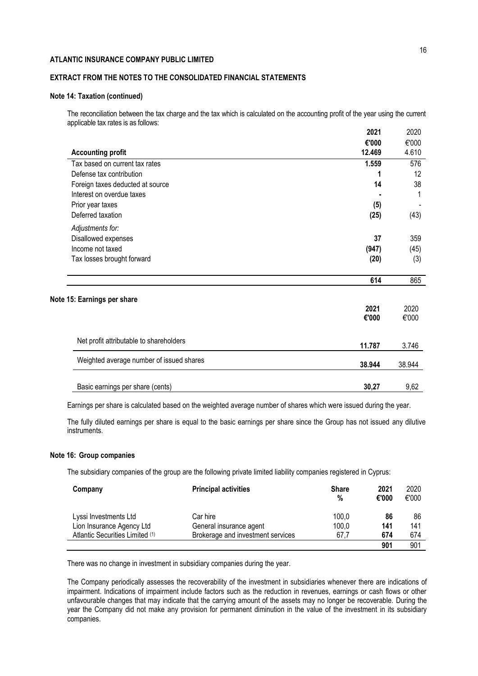## **EXTRACT FROM THE NOTES TO THE CONSOLIDATED FINANCIAL STATEMENTS**

## **Note 14: Taxation (continued)**

The reconciliation between the tax charge and the tax which is calculated on the accounting profit of the year using the current applicable tax rates is as follows:

|                                          | 2021   | 2020   |
|------------------------------------------|--------|--------|
|                                          | €'000  | €'000  |
| <b>Accounting profit</b>                 | 12.469 | 4.610  |
| Tax based on current tax rates           | 1.559  | 576    |
| Defense tax contribution                 |        | 12     |
| Foreign taxes deducted at source         | 14     | 38     |
| Interest on overdue taxes                |        | 1      |
| Prior year taxes                         | (5)    |        |
| Deferred taxation                        | (25)   | (43)   |
| Adjustments for:                         |        |        |
| Disallowed expenses                      | 37     | 359    |
| Income not taxed                         | (947)  | (45)   |
| Tax losses brought forward               | (20)   | (3)    |
|                                          | 614    | 865    |
| Note 15: Earnings per share              |        |        |
|                                          | 2021   | 2020   |
|                                          | €'000  | €'000  |
| Net profit attributable to shareholders  | 11.787 | 3.746  |
|                                          |        |        |
| Weighted average number of issued shares | 38.944 | 38.944 |
| Basic earnings per share (cents)         | 30,27  | 9,62   |

Earnings per share is calculated based on the weighted average number of shares which were issued during the year.

The fully diluted earnings per share is equal to the basic earnings per share since the Group has not issued any dilutive instruments.

## **Note 16: Group companies**

The subsidiary companies of the group are the following private limited liability companies registered in Cyprus:

| Company                                                      | <b>Principal activities</b>                                  | <b>Share</b><br>% | 2021<br>€'000 | 2020<br>€'000 |
|--------------------------------------------------------------|--------------------------------------------------------------|-------------------|---------------|---------------|
| Lyssi Investments Ltd                                        | Car hire                                                     | 100.0             | 86            | 86            |
| Lion Insurance Agency Ltd<br>Atlantic Securities Limited (1) | General insurance agent<br>Brokerage and investment services | 100,0<br>67.7     | 141<br>674    | 141<br>674    |
|                                                              |                                                              |                   | 901           | 901           |

There was no change in investment in subsidiary companies during the year.

The Company periodically assesses the recoverability of the investment in subsidiaries whenever there are indications of impairment. Indications of impairment include factors such as the reduction in revenues, earnings or cash flows or other unfavourable changes that may indicate that the carrying amount of the assets may no longer be recoverable. During the year the Company did not make any provision for permanent diminution in the value of the investment in its subsidiary companies.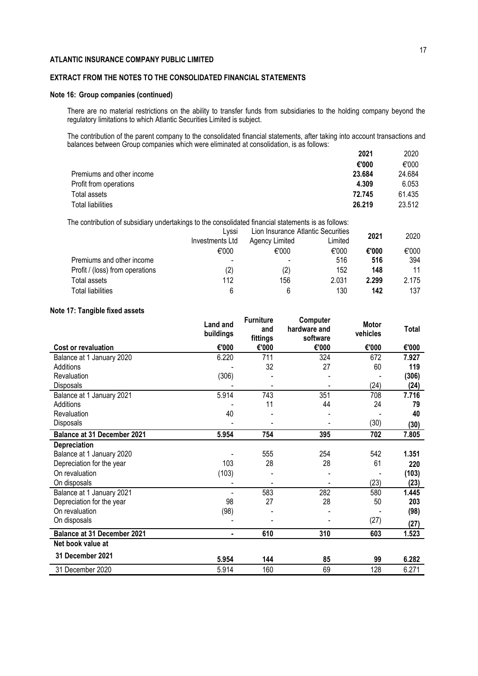# **EXTRACT FROM THE NOTES TO THE CONSOLIDATED FINANCIAL STATEMENTS**

## **Note 16: Group companies (continued)**

There are no material restrictions on the ability to transfer funds from subsidiaries to the holding company beyond the regulatory limitations to which Atlantic Securities Limited is subject.

The contribution of the parent company to the consolidated financial statements, after taking into account transactions and balances between Group companies which were eliminated at consolidation, is as follows:

|                                     | 2021 | 2020   |
|-------------------------------------|------|--------|
| €'000                               |      | €'000  |
| 23.684<br>Premiums and other income |      | 24.684 |
| Profit from operations<br>4.309     |      | 6.053  |
| 72.745<br>Total assets              |      | 61.435 |
| <b>Total liabilities</b><br>26.219  |      | 23.512 |

The contribution of subsidiary undertakings to the consolidated financial statements is as follows:

|                                 | Lyssi             | Lion Insurance Atlantic Securities |         | 2021  | 2020  |
|---------------------------------|-------------------|------------------------------------|---------|-------|-------|
|                                 | Investments Ltd   | Agency Limited                     | Limited |       |       |
|                                 | €'000             | €'000                              | €'000   | €'000 | €'000 |
| Premiums and other income       | -                 |                                    | 516     | 516   | 394   |
| Profit / (loss) from operations | $\left( 2\right)$ | (2)                                | 152     | 148   | 11    |
| Total assets                    | 112               | 156                                | 2.031   | 2.299 | 2.175 |
| Total liabilities               | 6                 | 6                                  | 130     | 142   | 137   |

#### **Note 17: Tangible fixed assets**

| הסוס דה דמהקומוס וואסט מססטנס      |                       |                                     |                                      |                          |              |
|------------------------------------|-----------------------|-------------------------------------|--------------------------------------|--------------------------|--------------|
|                                    | Land and<br>buildings | <b>Furniture</b><br>and<br>fittings | Computer<br>hardware and<br>software | <b>Motor</b><br>vehicles | <b>Total</b> |
| Cost or revaluation                | €'000                 | €'000                               | €'000                                | €'000                    | €'000        |
| Balance at 1 January 2020          | 6.220                 | 711                                 | 324                                  | 672                      | 7.927        |
| Additions                          |                       | 32                                  | 27                                   | 60                       | 119          |
| Revaluation                        | (306)                 |                                     |                                      |                          | (306)        |
| Disposals                          |                       |                                     |                                      | (24)                     | (24)         |
| Balance at 1 January 2021          | 5.914                 | 743                                 | 351                                  | 708                      | 7.716        |
| Additions                          |                       | 11                                  | 44                                   | 24                       | 79           |
| Revaluation                        | 40                    |                                     |                                      |                          | 40           |
| Disposals                          |                       |                                     |                                      | (30)                     | (30)         |
| <b>Balance at 31 December 2021</b> | 5.954                 | 754                                 | 395                                  | 702                      | 7.805        |
| Depreciation                       |                       |                                     |                                      |                          |              |
| Balance at 1 January 2020          |                       | 555                                 | 254                                  | 542                      | 1.351        |
| Depreciation for the year          | 103                   | 28                                  | 28                                   | 61                       | 220          |
| On revaluation                     | (103)                 |                                     |                                      |                          | (103)        |
| On disposals                       |                       |                                     |                                      | (23)                     | (23)         |
| Balance at 1 January 2021          |                       | 583                                 | 282                                  | 580                      | 1.445        |
| Depreciation for the year          | 98                    | 27                                  | 28                                   | 50                       | 203          |
| On revaluation                     | (98)                  |                                     |                                      |                          | (98)         |
| On disposals                       |                       |                                     |                                      | (27)                     | (27)         |
| <b>Balance at 31 December 2021</b> | ٠                     | 610                                 | 310                                  | 603                      | 1.523        |
| Net book value at                  |                       |                                     |                                      |                          |              |
| 31 December 2021                   | 5.954                 | 144                                 | 85                                   | 99                       | 6.282        |
| 31 December 2020                   | 5.914                 | 160                                 | 69                                   | 128                      | 6.271        |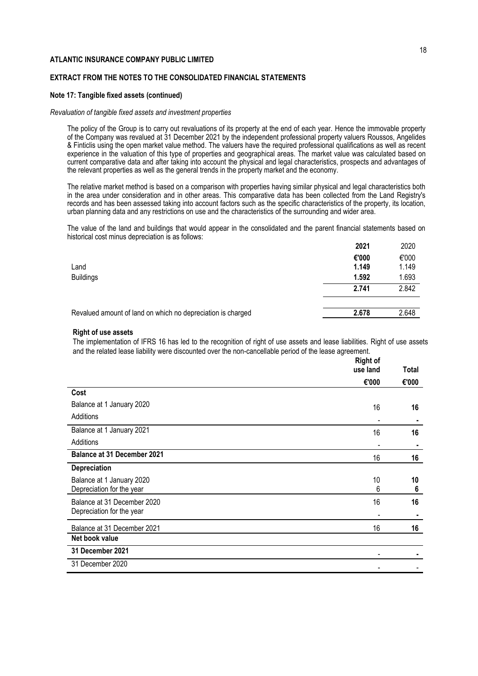## **EXTRACT FROM THE NOTES TO THE CONSOLIDATED FINANCIAL STATEMENTS**

#### **Note 17: Tangible fixed assets (continued)**

#### *Revaluation of tangible fixed assets and investment properties*

The policy of the Group is to carry out revaluations of its property at the end of each year. Hence the immovable property of the Company was revalued at 31 December 2021 by the independent professional property valuers Roussos, Angelides & Finticlis using the open market value method. The valuers have the required professional qualifications as well as recent experience in the valuation of this type of properties and geographical areas. The market value was calculated based on current comparative data and after taking into account the physical and legal characteristics, prospects and advantages of the relevant properties as well as the general trends in the property market and the economy.

The relative market method is based on a comparison with properties having similar physical and legal characteristics both in the area under consideration and in other areas. This comparative data has been collected from the Land Registry's records and has been assessed taking into account factors such as the specific characteristics of the property, its location, urban planning data and any restrictions on use and the characteristics of the surrounding and wider area.

The value of the land and buildings that would appear in the consolidated and the parent financial statements based on historical cost minus depreciation is as follows:

|                                                             | 2021  | 2020  |
|-------------------------------------------------------------|-------|-------|
|                                                             | €'000 | €'000 |
| Land                                                        | 1.149 | 1.149 |
| <b>Buildings</b>                                            | 1.592 | 1.693 |
|                                                             | 2.741 | 2.842 |
|                                                             |       |       |
| Revalued amount of land on which no depreciation is charged | 2.678 | 2.648 |
|                                                             |       |       |

#### **Right of use assets**

The implementation of IFRS 16 has led to the recognition of right of use assets and lease liabilities. Right of use assets and the related lease liability were discounted over the non-cancellable period of the lease agreement.

|                                    | <b>Right of</b><br>use land | Total |
|------------------------------------|-----------------------------|-------|
|                                    | €'000                       | €'000 |
| Cost                               |                             |       |
| Balance at 1 January 2020          | 16                          | 16    |
| Additions                          |                             |       |
| Balance at 1 January 2021          | 16                          | 16    |
| Additions                          |                             | ٠     |
| <b>Balance at 31 December 2021</b> | 16                          | 16    |
| <b>Depreciation</b>                |                             |       |
| Balance at 1 January 2020          | 10                          | 10    |
| Depreciation for the year          | 6                           | 6     |
| Balance at 31 December 2020        | 16                          | 16    |
| Depreciation for the year          |                             |       |
| Balance at 31 December 2021        | 16                          | 16    |
| Net book value                     |                             |       |
| 31 December 2021                   |                             |       |
| 31 December 2020                   |                             |       |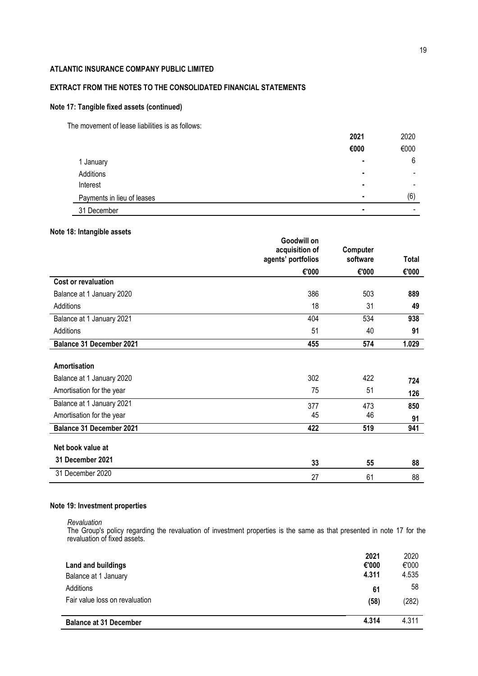# **EXTRACT FROM THE NOTES TO THE CONSOLIDATED FINANCIAL STATEMENTS**

## **Note 17: Tangible fixed assets (continued)**

The movement of lease liabilities is as follows:

|                            | 2021 | 2020                     |
|----------------------------|------|--------------------------|
|                            | €000 | €000                     |
| 1 January                  | ٠    | 6                        |
| Additions                  |      | $\overline{\phantom{a}}$ |
| Interest                   | ٠    | ۰                        |
| Payments in lieu of leases |      | (6)                      |
| 31 December                |      | ۰                        |

## **Note 18: Intangible assets**

|                                       | Goodwill on<br>acquisition of | Computer |       |
|---------------------------------------|-------------------------------|----------|-------|
|                                       | agents' portfolios            | software | Total |
|                                       | €'000                         | €'000    | €'000 |
| <b>Cost or revaluation</b>            |                               |          |       |
| Balance at 1 January 2020             | 386                           | 503      | 889   |
| <b>Additions</b>                      | 18                            | 31       | 49    |
| Balance at 1 January 2021             | 404                           | 534      | 938   |
| Additions                             | 51                            | 40       | 91    |
| <b>Balance 31 December 2021</b>       | 455                           | 574      | 1.029 |
| Amortisation                          |                               |          |       |
| Balance at 1 January 2020             | 302                           | 422      | 724   |
| Amortisation for the year             | 75                            | 51       | 126   |
| Balance at 1 January 2021             | 377                           | 473      | 850   |
| Amortisation for the year             | 45                            | 46       | 91    |
| <b>Balance 31 December 2021</b>       | 422                           | 519      | 941   |
| Net book value at<br>31 December 2021 |                               |          |       |
|                                       | 33                            | 55       | 88    |
| 31 December 2020                      | 27                            | 61       | 88    |

# **Note 19: Investment properties**

*Revaluation*

The Group's policy regarding the revaluation of investment properties is the same as that presented in note 17 for the revaluation of fixed assets.

| Land and buildings<br>Balance at 1 January | 2021<br>€'000<br>4.311 | 2020<br>€'000<br>4.535 |
|--------------------------------------------|------------------------|------------------------|
| Additions                                  | 61                     | 58                     |
| Fair value loss on revaluation             | (58)                   | (282)                  |
| <b>Balance at 31 December</b>              | 4.314                  | 4.311                  |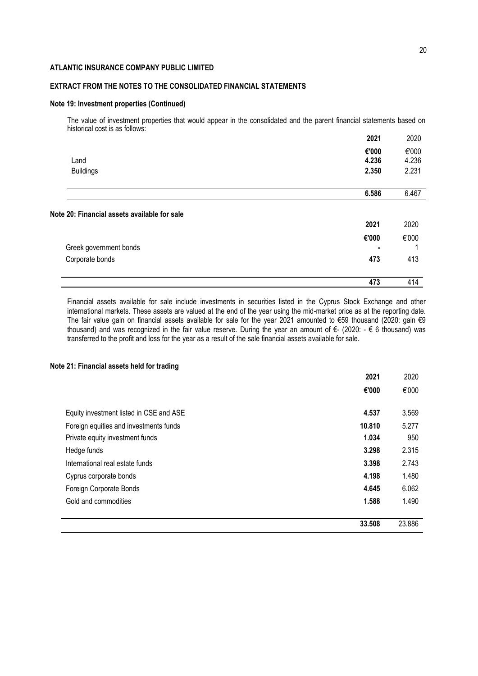## **EXTRACT FROM THE NOTES TO THE CONSOLIDATED FINANCIAL STATEMENTS**

#### **Note 19: Investment properties (Continued)**

The value of investment properties that would appear in the consolidated and the parent financial statements based on historical cost is as follows:

|                                                                 | 2021  | 2020  |
|-----------------------------------------------------------------|-------|-------|
|                                                                 | €'000 | €'000 |
| Land                                                            | 4.236 | 4.236 |
| <b>Buildings</b>                                                | 2.350 | 2.231 |
|                                                                 | 6.586 | 6.467 |
|                                                                 |       |       |
|                                                                 |       |       |
|                                                                 | 2021  | 2020  |
|                                                                 | €'000 | €'000 |
| Greek government bonds                                          | ۰     |       |
| Note 20: Financial assets available for sale<br>Corporate bonds | 473   | 413   |

Financial assets available for sale include investments in securities listed in the Cyprus Stock Exchange and other international markets. These assets are valued at the end of the year using the mid-market price as at the reporting date. The fair value gain on financial assets available for sale for the year 2021 amounted to €59 thousand (2020: gain €9 thousand) and was recognized in the fair value reserve. During the year an amount of €- (2020: - € 6 thousand) was transferred to the profit and loss for the year as a result of the sale financial assets available for sale.

## **Note 21: Financial assets held for trading**

|                                         | 33.508 | 23.886 |
|-----------------------------------------|--------|--------|
| Gold and commodities                    | 1.588  | 1.490  |
|                                         |        |        |
| Foreign Corporate Bonds                 | 4.645  | 6.062  |
| Cyprus corporate bonds                  | 4.198  | 1.480  |
| International real estate funds         | 3.398  | 2.743  |
| Hedge funds                             | 3.298  | 2.315  |
| Private equity investment funds         | 1.034  | 950    |
| Foreign equities and investments funds  | 10.810 | 5.277  |
| Equity investment listed in CSE and ASE | 4.537  | 3.569  |
|                                         | €'000  | €'000  |
|                                         |        |        |
|                                         | 2021   | 2020   |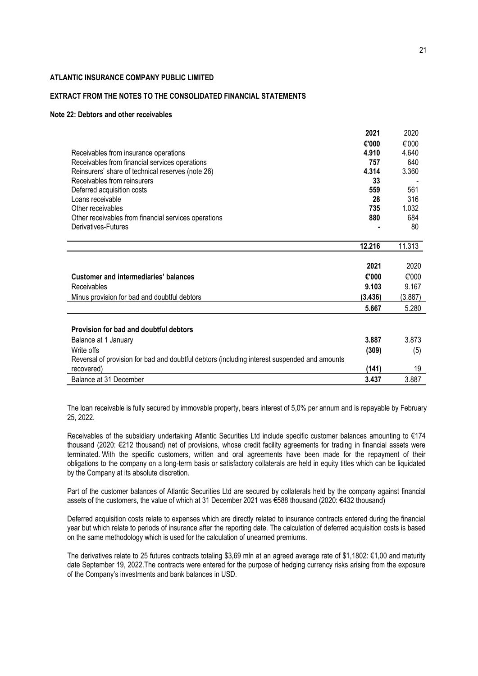## **EXTRACT FROM THE NOTES TO THE CONSOLIDATED FINANCIAL STATEMENTS**

#### **Note 22: Debtors and other receivables**

|                                                                                              | 2021    | 2020    |
|----------------------------------------------------------------------------------------------|---------|---------|
|                                                                                              | €'000   | €'000   |
| Receivables from insurance operations                                                        | 4.910   | 4.640   |
| Receivables from financial services operations                                               | 757     | 640     |
| Reinsurers' share of technical reserves (note 26)                                            | 4.314   | 3.360   |
| Receivables from reinsurers                                                                  | 33      |         |
| Deferred acquisition costs                                                                   | 559     | 561     |
| Loans receivable                                                                             | 28      | 316     |
| Other receivables                                                                            | 735     | 1.032   |
| Other receivables from financial services operations                                         | 880     | 684     |
| Derivatives-Futures                                                                          |         | 80      |
|                                                                                              |         |         |
|                                                                                              | 12.216  | 11.313  |
|                                                                                              |         |         |
|                                                                                              | 2021    | 2020    |
| <b>Customer and intermediaries' balances</b>                                                 | €'000   | €'000   |
| Receivables                                                                                  | 9.103   | 9.167   |
| Minus provision for bad and doubtful debtors                                                 | (3.436) | (3.887) |
|                                                                                              | 5.667   | 5.280   |
|                                                                                              |         |         |
| Provision for bad and doubtful debtors                                                       |         |         |
| Balance at 1 January                                                                         | 3.887   | 3.873   |
| Write offs                                                                                   | (309)   | (5)     |
| Reversal of provision for bad and doubtful debtors (including interest suspended and amounts |         |         |
| recovered)                                                                                   | (141)   | 19      |

The loan receivable is fully secured by immovable property, bears interest of 5,0% per annum and is repayable by February 25, 2022.

Balance at 31 December **3.437** 3.887

Receivables of the subsidiary undertaking Atlantic Securities Ltd include specific customer balances amounting to €174 thousand (2020: €212 thousand) net of provisions, whose credit facility agreements for trading in financial assets were terminated. With the specific customers, written and oral agreements have been made for the repayment of their obligations to the company on a long-term basis or satisfactory collaterals are held in equity titles which can be liquidated by the Company at its absolute discretion.

Part of the customer balances of Atlantic Securities Ltd are secured by collaterals held by the company against financial assets of the customers, the value of which at 31 December 2021 was €588 thousand (2020: €432 thousand)

Deferred acquisition costs relate to expenses which are directly related to insurance contracts entered during the financial year but which relate to periods of insurance after the reporting date. The calculation of deferred acquisition costs is based on the same methodology which is used for the calculation of unearned premiums.

The derivatives relate to 25 futures contracts totaling \$3,69 mln at an agreed average rate of \$1,1802: €1,00 and maturity date September 19, 2022.The contracts were entered for the purpose of hedging currency risks arising from the exposure of the Company's investments and bank balances in USD.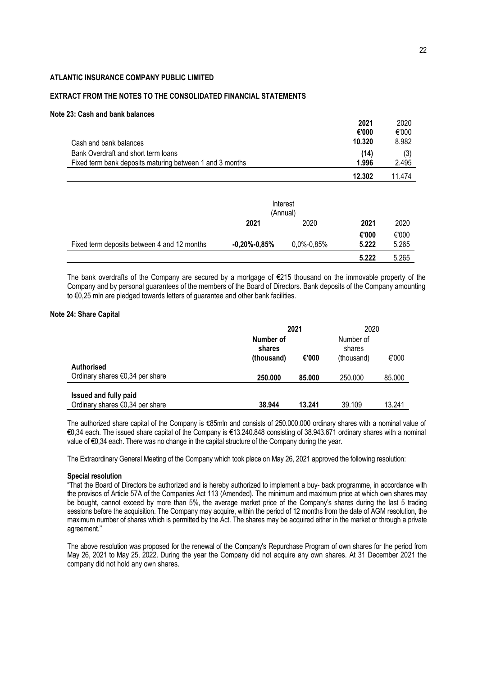## **EXTRACT FROM THE NOTES TO THE CONSOLIDATED FINANCIAL STATEMENTS**

## **Note 23: Cash and bank balances**

|                                                          | 2021   | 2020   |
|----------------------------------------------------------|--------|--------|
|                                                          | €'000  | €'000  |
| Cash and bank balances                                   | 10.320 | 8.982  |
| Bank Overdraft and short term loans                      | (14)   | (3)    |
| Fixed term bank deposits maturing between 1 and 3 months | 1.996  | 2.495  |
|                                                          | 12.302 | 11 474 |

|                                             | (Annual)         | Interest       |       |       |
|---------------------------------------------|------------------|----------------|-------|-------|
|                                             | 2021             | 2020           | 2021  | 2020  |
|                                             |                  |                | €'000 | €'000 |
| Fixed term deposits between 4 and 12 months | $-0,20\%$ -0,85% | $0,0\%$ -0,85% | 5.222 | 5.265 |
|                                             |                  |                | 5.222 | 5.265 |

The bank overdrafts of the Company are secured by a mortgage of €215 thousand on the immovable property of the Company and by personal guarantees of the members of the Board of Directors. Bank deposits of the Company amounting to €0,25 mln are pledged towards letters of guarantee and other bank facilities.

## **Note 24: Share Capital**

|                                                                | 2021                              |        |                                   | 2020   |
|----------------------------------------------------------------|-----------------------------------|--------|-----------------------------------|--------|
|                                                                | Number of<br>shares<br>(thousand) | €'000  | Number of<br>shares<br>(thousand) | €'000  |
| <b>Authorised</b><br>Ordinary shares $\epsilon$ 0,34 per share | 250,000                           | 85.000 | 250.000                           | 85.000 |
| <b>Issued and fully paid</b>                                   |                                   |        |                                   |        |
| Ordinary shares $\epsilon$ 0,34 per share                      | 38.944                            | 13.241 | 39.109                            | 13.241 |

The authorized share capital of the Company is €85mln and consists of 250.000.000 ordinary shares with a nominal value of €0,34 each. Τhe issued share capital of the Company is €13.240.848 consisting of 38.943.671 ordinary shares with a nominal value of €0,34 each. There was no change in the capital structure of the Company during the year.

The Extraordinary General Meeting of the Company which took place on May 26, 2021 approved the following resolution:

## **Special resolution**

"That the Board of Directors be authorized and is hereby authorized to implement a buy- back programme, in accordance with the provisos of Article 57A of the Companies Act 113 (Amended). The minimum and maximum price at which own shares may be bought, cannot exceed by more than 5%, the average market price of the Company's shares during the last 5 trading sessions before the acquisition. The Company may acquire, within the period of 12 months from the date of AGM resolution, the maximum number of shares which is permitted by the Act. The shares may be acquired either in the market or through a private agreement.''

The above resolution was proposed for the renewal of the Company's Repurchase Program of own shares for the period from May 26, 2021 to May 25, 2022. During the year the Company did not acquire any own shares. At 31 December 2021 the company did not hold any own shares.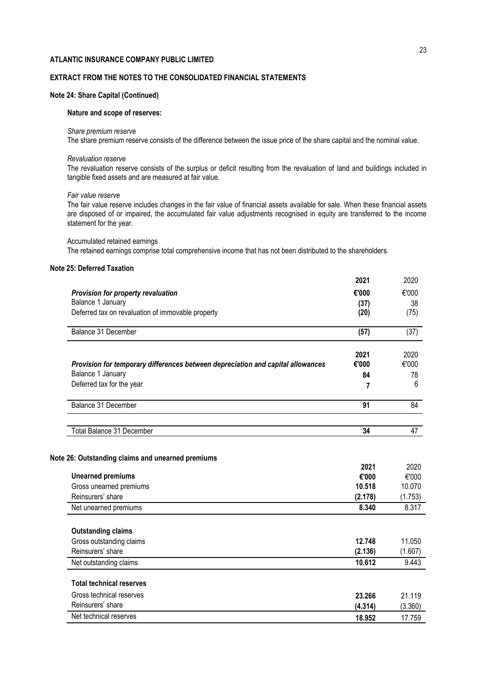# **EXTRACT FROM THE NOTES TO THE CONSOLIDATED FINANCIAL STATEMENTS**

## **Note 24: Share Capital (Continued)**

#### **Nature and scope of reserves:**

#### *Share premium reserve*

The share premium reserve consists of the difference between the issue price of the share capital and the nominal value.

#### *Revaluation reserve*

The revaluation reserve consists of the surplus or deficit resulting from the revaluation of land and buildings included in tangible fixed assets and are measured at fair value.

#### *Fair value reserve*

The fair value reserve includes changes in the fair value of financial assets available for sale. When these financial assets are disposed of or impaired, the accumulated fair value adjustments recognised in equity are transferred to the income statement for the year.

Accumulated retained earnings The retained earnings comprise total comprehensive income that has not been distributed to the shareholders.

# **Note 25: Deferred Taxation**

|                                                                                 | 2021              | 2020                                            |
|---------------------------------------------------------------------------------|-------------------|-------------------------------------------------|
| Provision for property revaluation                                              | €'000             | €'000                                           |
| Balance 1 January                                                               | (37)              | 38                                              |
| Deferred tax on revaluation of immovable property                               | (20)              | (75)                                            |
| Balance 31 December                                                             | (57)              | (37)                                            |
|                                                                                 | 2021              | 2020                                            |
| Provision for temporary differences between depreciation and capital allowances | €'000             | €'000                                           |
| Balance 1 January                                                               | 84                | 78                                              |
| Deferred tax for the year                                                       | 7                 | 6                                               |
| Balance 31 December                                                             | 91                | 84                                              |
| Total Balance 31 December                                                       | 34                | 47                                              |
|                                                                                 | 2021              | 2020                                            |
| <b>Unearned premiums</b>                                                        | €'000             | €'000                                           |
| Gross unearned premiums<br>Reinsurers' share                                    | 10.518            | 10.070                                          |
| Net unearned premiums                                                           | (2.178)<br>8.340  | (1.753)<br>8.317                                |
| <b>Outstanding claims</b>                                                       |                   |                                                 |
| Gross outstanding claims                                                        |                   |                                                 |
|                                                                                 |                   |                                                 |
|                                                                                 | 12.748            |                                                 |
|                                                                                 | (2.136)<br>10.612 |                                                 |
|                                                                                 |                   |                                                 |
| Reinsurers' share<br>Net outstanding claims<br><b>Total technical reserves</b>  |                   |                                                 |
| Gross technical reserves                                                        | 23.266            |                                                 |
| Reinsurers' share<br>Net technical reserves                                     | (4.314)           | 11.050<br>(1.607)<br>9.443<br>21.119<br>(3.360) |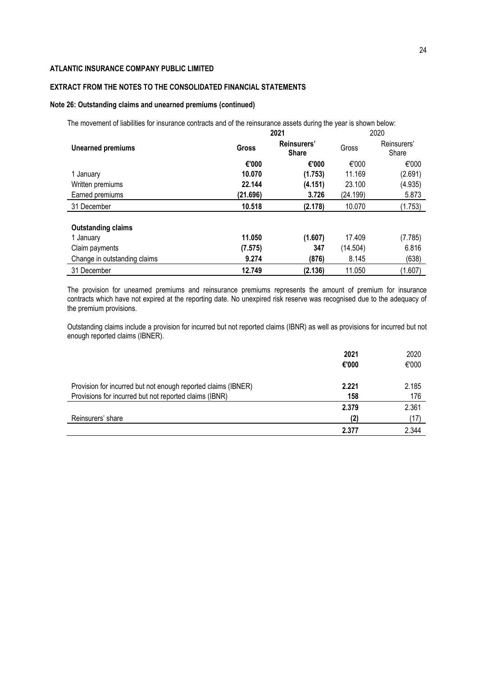# **EXTRACT FROM THE NOTES TO THE CONSOLIDATED FINANCIAL STATEMENTS**

## **Note 26: Outstanding claims and unearned premiums (continued)**

The movement of liabilities for insurance contracts and of the reinsurance assets during the year is shown below:

|                              | 2021     | 2020                        |          |                      |
|------------------------------|----------|-----------------------------|----------|----------------------|
| <b>Unearned premiums</b>     | Gross    | Reinsurers'<br><b>Share</b> | Gross    | Reinsurers'<br>Share |
|                              | €'000    | €'000                       | €'000    | €'000                |
| 1 January                    | 10.070   | (1.753)                     | 11.169   | (2.691)              |
| Written premiums             | 22.144   | (4.151)                     | 23.100   | (4.935)              |
| Earned premiums              | (21.696) | 3.726                       | (24.199) | 5.873                |
| 31 December                  | 10.518   | (2.178)                     | 10.070   | (1.753)              |
| <b>Outstanding claims</b>    |          |                             |          |                      |
| 1 January                    | 11.050   | (1.607)                     | 17.409   | (7.785)              |
| Claim payments               | (7.575)  | 347                         | (14.504) | 6.816                |
| Change in outstanding claims | 9.274    | (876)                       | 8.145    | (638)                |
| 31 December                  | 12.749   | (2.136)                     | 11.050   | (1.607)              |

The provision for unearned premiums and reinsurance premiums represents the amount of premium for insurance contracts which have not expired at the reporting date. No unexpired risk reserve was recognised due to the adequacy of the premium provisions.

Outstanding claims include a provision for incurred but not reported claims (IBNR) as well as provisions for incurred but not enough reported claims (IBNER).

|                                                               | 2021  | 2020  |
|---------------------------------------------------------------|-------|-------|
|                                                               | €'000 | €'000 |
| Provision for incurred but not enough reported claims (IBNER) | 2.221 | 2.185 |
| Provisions for incurred but not reported claims (IBNR)        | 158   | 176   |
|                                                               | 2.379 | 2.361 |
| Reinsurers' share                                             | (2)   | (17)  |
|                                                               | 2.377 | 2.344 |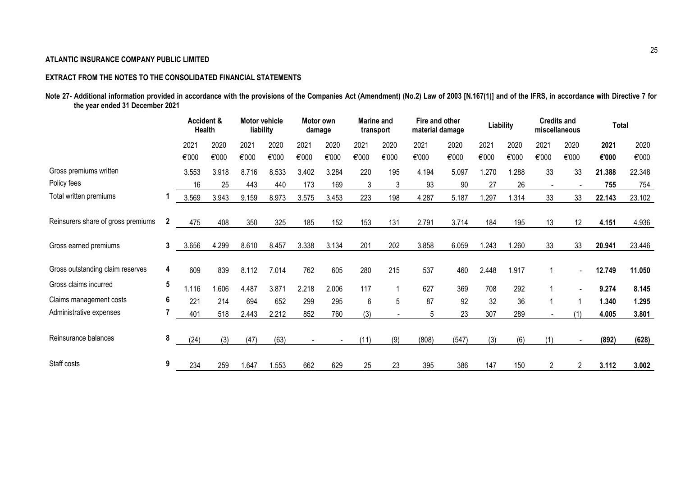# **EXTRACT FROM THE NOTES TO THE CONSOLIDATED FINANCIAL STATEMENTS**

| Note 27- Additional information provided in accordance with the provisions of the Companies Act (Amendment) (No.2) Law of 2003 [N.167(1)] and of the IFRS, in accordance with Directive 7 for |  |  |  |
|-----------------------------------------------------------------------------------------------------------------------------------------------------------------------------------------------|--|--|--|
| the year ended 31 December 2021                                                                                                                                                               |  |  |  |

|                                    |                | <b>Health</b> | <b>Accident &amp;</b> | <b>Motor vehicle</b><br>liability |       |       | Motor own<br>damage | <b>Marine</b> and | transport | Fire and other<br>material damage |       |       | Liability | miscellaneous            | <b>Credits and</b> | <b>Total</b> |        |
|------------------------------------|----------------|---------------|-----------------------|-----------------------------------|-------|-------|---------------------|-------------------|-----------|-----------------------------------|-------|-------|-----------|--------------------------|--------------------|--------------|--------|
|                                    |                | 2021          | 2020                  | 2021                              | 2020  | 2021  | 2020                | 2021              | 2020      | 2021                              | 2020  | 2021  | 2020      | 2021                     | 2020               | 2021         | 2020   |
|                                    |                | €'000         | €'000                 | €'000                             | €'000 | €'000 | €'000               | €'000             | €'000     | €'000                             | €'000 | €'000 | €'000     | €'000                    | €'000              | €'000        | €'000  |
| Gross premiums written             |                | 3.553         | 3.918                 | 8.716                             | 8.533 | 3.402 | 3.284               | 220               | 195       | 4.194                             | 5.097 | 1.270 | 1.288     | 33                       | 33                 | 21.388       | 22.348 |
| Policy fees                        |                | 16            | 25                    | 443                               | 440   | 173   | 169                 | 3                 | 3         | 93                                | 90    | 27    | 26        | $\overline{\phantom{a}}$ |                    | 755          | 754    |
| Total written premiums             |                | 3.569         | 3.943                 | 9.159                             | 8.973 | 3.575 | 3.453               | 223               | 198       | 4.287                             | 5.187 | 1.297 | 1.314     | 33                       | 33                 | 22.143       | 23.102 |
| Reinsurers share of gross premiums | $\overline{2}$ | 475           | 408                   | 350                               | 325   | 185   | 152                 | 153               | 131       | 2.791                             | 3.714 | 184   | 195       | 13                       | 12                 | 4.151        | 4.936  |
| Gross earned premiums              | 3              | 3.656         | 4.299                 | 8.610                             | 8.457 | 3.338 | 3.134               | 201               | 202       | 3.858                             | 6.059 | 1.243 | 1.260     | 33                       | 33                 | 20.941       | 23.446 |
| Gross outstanding claim reserves   | 4              | 609           | 839                   | 8.112                             | 7.014 | 762   | 605                 | 280               | 215       | 537                               | 460   | 2.448 | 1.917     |                          |                    | 12.749       | 11.050 |
| Gross claims incurred              | 5              | 1.116         | 1.606                 | 4.487                             | 3.871 | 2.218 | 2.006               | 117               |           | 627                               | 369   | 708   | 292       |                          |                    | 9.274        | 8.145  |
| Claims management costs            | 6              | 221           | 214                   | 694                               | 652   | 299   | 295                 | 6                 | 5         | 87                                | 92    | 32    | 36        | 1                        |                    | 1.340        | 1.295  |
| Administrative expenses            |                | 401           | 518                   | 2.443                             | 2.212 | 852   | 760                 | (3)               |           | 5                                 | 23    | 307   | 289       |                          | (1)                | 4.005        | 3.801  |
| Reinsurance balances               | 8              | (24)          | (3)                   | (47)                              | (63)  |       |                     | (11)              | (9)       | (808)                             | (547) | (3)   | (6)       | (1)                      |                    | (892)        | (628)  |
| Staff costs                        | 9              | 234           | 259                   | 1.647                             | 1.553 | 662   | 629                 | 25                | 23        | 395                               | 386   | 147   | 150       | $\overline{2}$           |                    | 3.112        | 3.002  |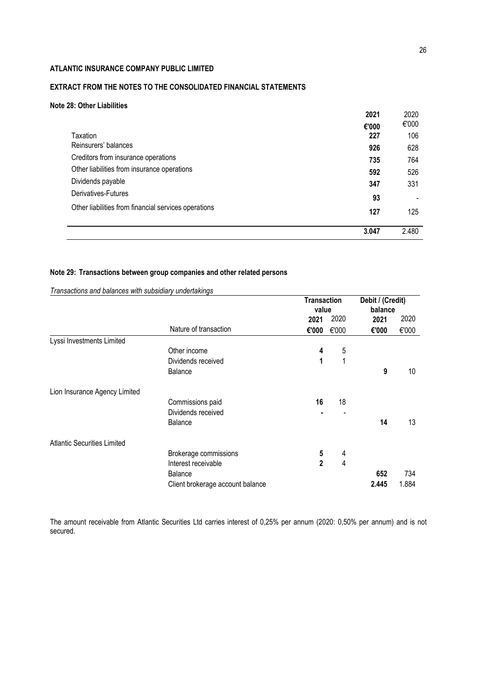# **EXTRACT FROM THE NOTES TO THE CONSOLIDATED FINANCIAL STATEMENTS**

# **Note 28: Other Liabilities**

|                                                      | 2021  | 2020  |
|------------------------------------------------------|-------|-------|
|                                                      | €'000 | €'000 |
| Taxation                                             | 227   | 106   |
| Reinsurers' balances                                 | 926   | 628   |
| Creditors from insurance operations                  | 735   | 764   |
| Other liabilities from insurance operations          | 592   | 526   |
| Dividends payable                                    | 347   | 331   |
| Derivatives-Futures                                  | 93    |       |
| Other liabilities from financial services operations | 127   | 125   |
|                                                      | 3.047 | 2.480 |

# **Note 29: Transactions between group companies and other related persons**

|                                    |                                  | <b>Transaction</b><br>value |       | Debit / (Credit)<br>balance |       |  |
|------------------------------------|----------------------------------|-----------------------------|-------|-----------------------------|-------|--|
|                                    |                                  | 2021                        | 2020  | 2021                        | 2020  |  |
|                                    | Nature of transaction            | €'000                       | €'000 | €'000                       | €'000 |  |
| Lyssi Investments Limited          |                                  |                             |       |                             |       |  |
|                                    | Other income                     | 4                           | 5     |                             |       |  |
|                                    | Dividends received               | 1                           | 1     |                             |       |  |
|                                    | Balance                          |                             |       | 9                           | 10    |  |
| Lion Insurance Agency Limited      |                                  |                             |       |                             |       |  |
|                                    | Commissions paid                 | 16                          | 18    |                             |       |  |
|                                    | Dividends received               |                             |       |                             |       |  |
|                                    | Balance                          |                             |       | 14                          | 13    |  |
| <b>Atlantic Securities Limited</b> |                                  |                             |       |                             |       |  |
|                                    | Brokerage commissions            | 5                           | 4     |                             |       |  |
|                                    | Interest receivable              | $\mathbf{2}$                | 4     |                             |       |  |
|                                    | <b>Balance</b>                   |                             |       | 652                         | 734   |  |
|                                    | Client brokerage account balance |                             |       | 2.445                       | 1.884 |  |

*Transactions and balances with subsidiary undertakings*

The amount receivable from Atlantic Securities Ltd carries interest of 0,25% per annum (2020: 0,50% per annum) and is not secured.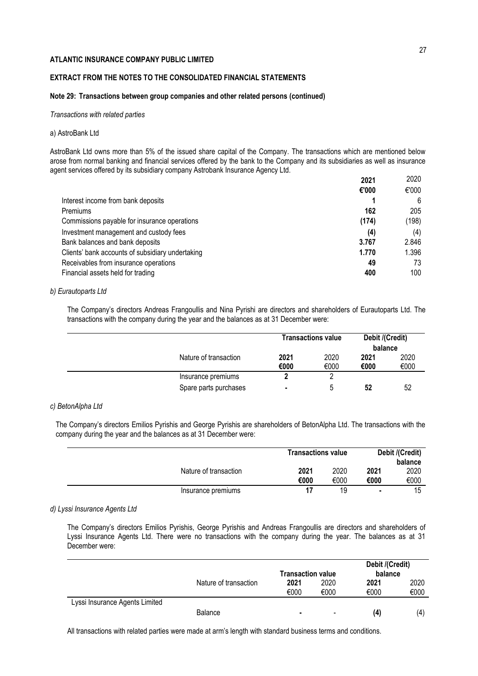## **EXTRACT FROM THE NOTES TO THE CONSOLIDATED FINANCIAL STATEMENTS**

## **Note 29: Transactions between group companies and other related persons (continued)**

*Transactions with related parties*

#### a) AstroBank Ltd

AstroBank Ltd owns more than 5% of the issued share capital of the Company. The transactions which are mentioned below arose from normal banking and financial services offered by the bank to the Company and its subsidiaries as well as insurance agent services offered by its subsidiary company Astrobank Insurance Agency Ltd.

|                                                  | 2021  | 2020  |
|--------------------------------------------------|-------|-------|
|                                                  | €'000 | €'000 |
| Interest income from bank deposits               |       | 6     |
| Premiums                                         | 162   | 205   |
| Commissions payable for insurance operations     | (174) | (198) |
| Investment management and custody fees           | (4)   | (4)   |
| Bank balances and bank deposits                  | 3.767 | 2.846 |
| Clients' bank accounts of subsidiary undertaking | 1.770 | 1.396 |
| Receivables from insurance operations            | 49    | 73    |
| Financial assets held for trading                | 400   | 100   |

## *b) Eurautoparts Ltd*

The Company's directors Andreas Frangoullis and Nina Pyrishi are directors and shareholders of Eurautoparts Ltd. The transactions with the company during the year and the balances as at 31 December were:

|                       |              | <b>Transactions value</b> | Debit /(Credit)<br>balance |              |
|-----------------------|--------------|---------------------------|----------------------------|--------------|
| Nature of transaction | 2021<br>€000 | 2020<br>€000              | 2021<br>€000               | 2020<br>€000 |
| Insurance premiums    |              |                           |                            |              |
| Spare parts purchases | ۰            | 5                         | 52                         | 52           |

### *c) BetonAlpha Ltd*

The Company's directors Emilios Pyrishis and George Pyrishis are shareholders of BetonAlpha Ltd. The transactions with the company during the year and the balances as at 31 December were:

|                       | <b>Transactions value</b> | Debit /(Credit)<br>balance |                |      |
|-----------------------|---------------------------|----------------------------|----------------|------|
| Nature of transaction | 2021                      | 2020                       | 2021           | 2020 |
|                       | €000                      | €000                       | €000           | €000 |
| Insurance premiums    |                           | 19                         | $\blacksquare$ | 15   |

## *d) Lyssi Insurance Agents Ltd*

The Company's directors Emilios Pyrishis, George Pyrishis and Andreas Frangoullis are directors and shareholders of Lyssi Insurance Agents Ltd. There were no transactions with the company during the year. The balances as at 31 December were:

|                                |                       | <b>Transaction value</b> |                          | Debit /(Credit)<br>balance |      |
|--------------------------------|-----------------------|--------------------------|--------------------------|----------------------------|------|
|                                | Nature of transaction | 2021                     | 2020                     | 2021                       | 2020 |
|                                |                       | €000                     | €000                     | €000                       | €000 |
| Lyssi Insurance Agents Limited |                       |                          |                          |                            |      |
|                                | <b>Balance</b>        | $\blacksquare$           | $\overline{\phantom{a}}$ | (4)                        | (4)  |

All transactions with related parties were made at arm's length with standard business terms and conditions.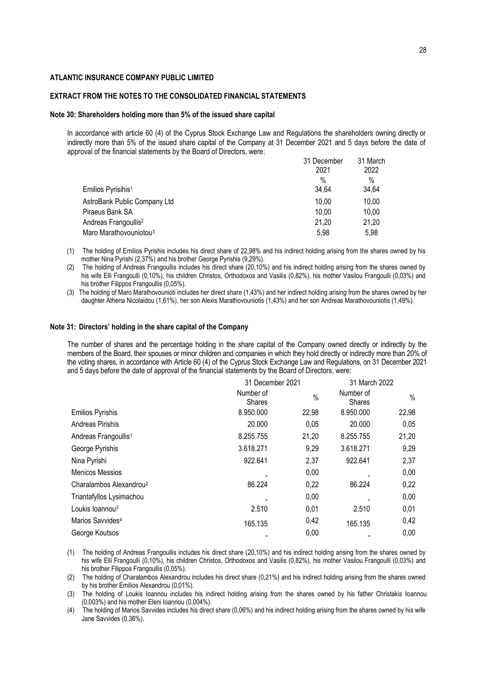#### **EXTRACT FROM THE NOTES TO THE CONSOLIDATED FINANCIAL STATEMENTS**

#### **Note 30: Shareholders holding more than 5% of the issued share capital**

In accordance with article 60 (4) of the Cyprus Stock Exchange Law and Regulations the shareholders owning directly or indirectly more than 5% of the issued share capital of the Company at 31 December 2021 and 5 days before the date of approval of the financial statements by the Board of Directors, were:

|                                    | 31 December | 31 March |
|------------------------------------|-------------|----------|
|                                    | 2021        | 2022     |
|                                    | $\%$        | $\%$     |
| Emilios Pyrisihis <sup>1</sup>     | 34,64       | 34,64    |
| AstroBank Public Company Ltd       | 10,00       | 10,00    |
| Piraeus Bank SA                    | 10,00       | 10.00    |
| Andreas Frangoullis <sup>2</sup>   | 21,20       | 21,20    |
| Maro Marathovouniotou <sup>3</sup> | 5.98        | 5.98     |
|                                    |             |          |

- (1) The holding of Emilios Pyrishis includes his direct share of 22,98% and his indirect holding arising from the shares owned by his mother Nina Pyrishi (2,37%) and his brother George Pyrishis (9,29%).
- (2) The holding of Andreas Frangoullis includes his direct share (20,10%) and his indirect holding arising from the shares owned by his wife Elli Frangoulli (0,10%), his children Christos, Orthodoxos and Vasilis (0,82%), his mother Vasilou Frangoulli (0,03%) and his brother Filippos Frangoullis (0,05%).
- (3) The holding of Maro Marathovounioti includes her direct share (1,43%) and her indirect holding arising from the shares owned by her daughter Athena Nicolaidou (1,61%), her son Alexis Marathovouniotis (1,43%) and her son Andreas Marathovouniotis (1,49%).

#### **Note 31: Directors' holding in the share capital of the Company**

The number of shares and the percentage holding in the share capital of the Company owned directly or indirectly by the members of the Board, their spouses or minor children and companies in which they hold directly or indirectly more than 20% of the voting shares, in accordance with Article 60 (4) of the Cyprus Stock Exchange Law and Regulations, on 31 December 2021 and 5 days before the date of approval of the financial statements by the Board of Directors, were:

| 31 December 2021 |                                                  |                            |               |
|------------------|--------------------------------------------------|----------------------------|---------------|
| <b>Shares</b>    | $\%$                                             | Number of<br><b>Shares</b> | $\%$          |
|                  | 22,98                                            | 8.950.000                  | 22,98         |
| 20.000           | 0,05                                             | 20.000                     | 0,05          |
|                  | 21,20                                            | 8.255.755                  | 21,20         |
|                  | 9,29                                             | 3.618.271                  | 9,29          |
| 922.641          | 2,37                                             | 922.641                    | 2,37          |
|                  | 0,00                                             |                            | 0,00          |
| 86.224           | 0,22                                             | 86.224                     | 0,22          |
|                  | 0,00                                             |                            | 0,00          |
| 2.510            | 0,01                                             | 2.510                      | 0,01          |
| 165.135          | 0,42                                             | 165.135                    | 0,42          |
|                  | 0,00                                             |                            | 0,00          |
|                  | Number of<br>8.950.000<br>8.255.755<br>3.618.271 |                            | 31 March 2022 |

(1) The holding of Andreas Frangoullis includes his direct share (20,10%) and his indirect holding arising from the shares owned by his wife Elli Frangoulli (0,10%), his children Christos, Orthodoxos and Vasilis (0,82%), his mother Vasilou Frangoulli (0,03%) and his brother Filippos Frangoullis (0,05%).

(2) The holding of Charalambos Alexandrou includes his direct share (0,21%) and his indirect holding arising from the shares owned by his brother Emilios Alexandrou (0,01%).

(3) The holding of Loukis Ioannou includes his indirect holding arising from the shares owned by his father Christakis Ioannou (0,003%) and his mother Eleni Ioannou (0,004%).

(4) The holding of Marios Savvides includes his direct share (0,06%) and his indirect holding arising from the shares owned by his wife Jane Savvides (0,36%).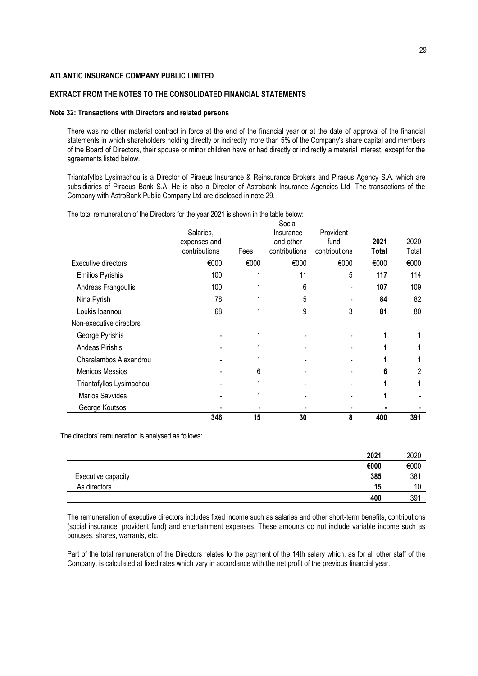## **EXTRACT FROM THE NOTES TO THE CONSOLIDATED FINANCIAL STATEMENTS**

#### **Note 32: Transactions with Directors and related persons**

There was no other material contract in force at the end of the financial year or at the date of approval of the financial statements in which shareholders holding directly or indirectly more than 5% of the Company's share capital and members of the Board of Directors, their spouse or minor children have or had directly or indirectly a material interest, except for the agreements listed below.

Triantafyllos Lysimachou is a Director of Piraeus Insurance & Reinsurance Brokers and Piraeus Agency S.A. which are subsidiaries of Piraeus Bank S.A. He is also a Director of Astrobank Insurance Agencies Ltd. The transactions of the Company with AstroBank Public Company Ltd are disclosed in note 29.

The total remuneration of the Directors for the year 2021 is shown in the table below:

|                          | 346                                        | 15   | 30                                      | 8                                  | 400           | 391           |
|--------------------------|--------------------------------------------|------|-----------------------------------------|------------------------------------|---------------|---------------|
| George Koutsos           |                                            |      |                                         |                                    |               |               |
| <b>Marios Savvides</b>   |                                            |      |                                         |                                    |               |               |
| Triantafyllos Lysimachou |                                            |      |                                         |                                    |               |               |
| <b>Menicos Messios</b>   |                                            | 6    |                                         |                                    | 6             | 2             |
| Charalambos Alexandrou   |                                            |      |                                         |                                    |               |               |
| Andeas Pirishis          |                                            |      |                                         |                                    |               |               |
| George Pyrishis          |                                            |      |                                         |                                    |               |               |
| Non-executive directors  |                                            |      |                                         |                                    |               |               |
| Loukis Ioannou           | 68                                         |      | 9                                       | 3                                  | 81            | 80            |
| Nina Pyrish              | 78                                         |      | 5                                       |                                    | 84            | 82            |
| Andreas Frangoullis      | 100                                        |      | 6                                       |                                    | 107           | 109           |
| <b>Emilios Pyrishis</b>  | 100                                        |      | 11                                      | 5                                  | 117           | 114           |
| Executive directors      | €000                                       | €000 | €000                                    | €000                               | €000          | €000          |
|                          | Salaries,<br>expenses and<br>contributions | Fees | Insurance<br>and other<br>contributions | Provident<br>fund<br>contributions | 2021<br>Total | 2020<br>Total |
|                          |                                            |      | Social                                  |                                    |               |               |

The directors' remuneration is analysed as follows:

|                    | 2021 | 2020 |
|--------------------|------|------|
|                    | €000 | €000 |
| Executive capacity | 385  | 381  |
| As directors       | 15   | 10   |
|                    | 400  | 391  |

The remuneration of executive directors includes fixed income such as salaries and other short-term benefits, contributions (social insurance, provident fund) and entertainment expenses. These amounts do not include variable income such as bonuses, shares, warrants, etc.

Part of the total remuneration of the Directors relates to the payment of the 14th salary which, as for all other staff of the Company, is calculated at fixed rates which vary in accordance with the net profit of the previous financial year.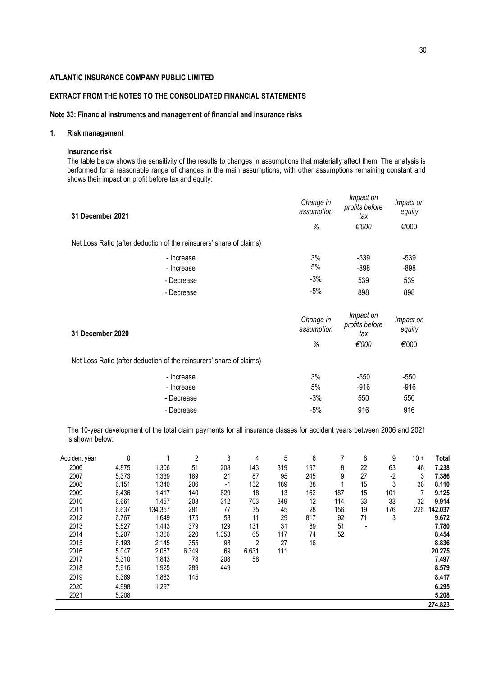# **EXTRACT FROM THE NOTES TO THE CONSOLIDATED FINANCIAL STATEMENTS**

## **Note 33: Financial instruments and management of financial and insurance risks**

## **1. Risk management**

### **Insurance risk**

l,

The table below shows the sensitivity of the results to changes in assumptions that materially affect them. The analysis is performed for a reasonable range of changes in the main assumptions, with other assumptions remaining constant and shows their impact on profit before tax and equity:

| 31 December 2021                                                    | Impact on<br>Change in<br>profits before<br>assumption<br>tax<br>%<br>€'000<br>3%<br>$-539$<br>5%<br>$-898$<br>$-3%$<br>539 | Impact on<br>equity |        |
|---------------------------------------------------------------------|-----------------------------------------------------------------------------------------------------------------------------|---------------------|--------|
|                                                                     |                                                                                                                             |                     | €'000  |
| Net Loss Ratio (after deduction of the reinsurers' share of claims) |                                                                                                                             |                     |        |
| - Increase                                                          |                                                                                                                             |                     | $-539$ |
| - Increase                                                          |                                                                                                                             |                     | $-898$ |
| - Decrease                                                          |                                                                                                                             |                     | 539    |
| - Decrease                                                          | $-5%$                                                                                                                       | 898                 | 898    |

| 31 December 2020                                                    | Change in<br>assumption | Impact on<br>profits before<br>tax | Impact on<br>equity |  |
|---------------------------------------------------------------------|-------------------------|------------------------------------|---------------------|--|
|                                                                     | %                       | €'000                              | €'000               |  |
| Net Loss Ratio (after deduction of the reinsurers' share of claims) |                         |                                    |                     |  |
| - Increase                                                          | 3%                      | $-550$                             | $-550$              |  |
| - Increase                                                          | 5%                      | $-916$                             | $-916$              |  |
| - Decrease                                                          | $-3%$                   | 550                                | 550                 |  |
| - Decrease                                                          | $-5%$                   | 916                                | 916                 |  |

The 10-year development of the total claim payments for all insurance classes for accident years between 2006 and 2021 is shown below:

| Accident year | 0     |         | 2     | 3     | 4     | 5   | 6   |     | 8                        | 9    | $10 +$ | <b>Total</b> |
|---------------|-------|---------|-------|-------|-------|-----|-----|-----|--------------------------|------|--------|--------------|
| 2006          | 4.875 | 1.306   | 51    | 208   | 143   | 319 | 197 | 8   | 22                       | 63   | 46     | 7.238        |
| 2007          | 5.373 | 1.339   | 189   | 21    | 87    | 95  | 245 | 9   | 27                       | $-2$ | 3      | 7.386        |
| 2008          | 6.151 | 1.340   | 206   | $-1$  | 132   | 189 | 38  |     | 15                       | 3    | 36     | 8.110        |
| 2009          | 6.436 | 1.417   | 140   | 629   | 18    | 13  | 162 | 187 | 15                       | 101  |        | 9.125        |
| 2010          | 6.661 | 1.457   | 208   | 312   | 703   | 349 | 12  | 114 | 33                       | 33   | 32     | 9.914        |
| 2011          | 6.637 | 134.357 | 281   | 77    | 35    | 45  | 28  | 156 | 19                       | 176  | 226    | 142.037      |
| 2012          | 6.767 | 1.649   | 175   | 58    | 11    | 29  | 817 | 92  | 71                       | 3    |        | 9.672        |
| 2013          | 5.527 | 1.443   | 379   | 129   | 131   | 31  | 89  | 51  | $\overline{\phantom{a}}$ |      |        | 7.780        |
| 2014          | 5.207 | 1.366   | 220   | 1.353 | 65    | 117 | 74  | 52  |                          |      |        | 8.454        |
| 2015          | 6.193 | 2.145   | 355   | 98    | 2     | 27  | 16  |     |                          |      |        | 8.836        |
| 2016          | 5.047 | 2.067   | 6.349 | 69    | 6.631 | 111 |     |     |                          |      |        | 20.275       |
| 2017          | 5.310 | 1.843   | 78    | 208   | 58    |     |     |     |                          |      |        | 7.497        |
| 2018          | 5.916 | 1.925   | 289   | 449   |       |     |     |     |                          |      |        | 8.579        |
| 2019          | 6.389 | 1.883   | 145   |       |       |     |     |     |                          |      |        | 8.417        |
| 2020          | 4.998 | 1.297   |       |       |       |     |     |     |                          |      |        | 6.295        |
| 2021          | 5.208 |         |       |       |       |     |     |     |                          |      |        | 5.208        |
|               |       |         |       |       |       |     |     |     |                          |      |        | 274.823      |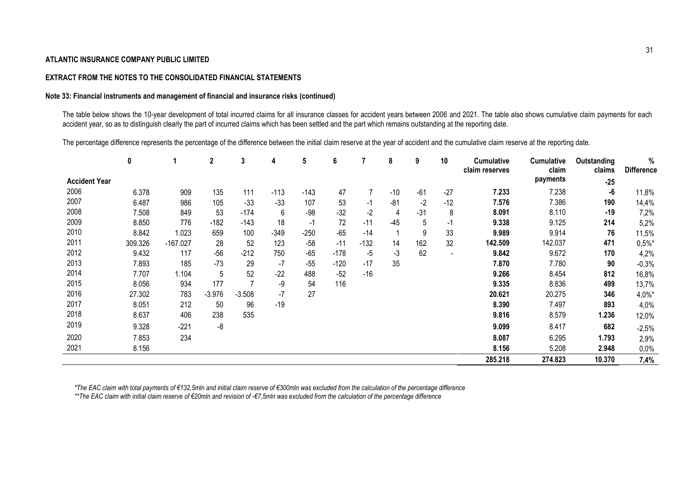## **EXTRACT FROM THE NOTES TO THE CONSOLIDATED FINANCIAL STATEMENTS**

## **Note 33: Financial instruments and management of financial and insurance risks (continued)**

The table below shows the 10-year development of total incurred claims for all insurance classes for accident years between 2006 and 2021. The table also shows cumulative claim payments for each accident year, so as to distinguish clearly the part of incurred claims which has been settled and the part which remains outstanding at the reporting date.

The percentage difference represents the percentage of the difference between the initial claim reserve at the year of accident and the cumulative claim reserve at the reporting date.

|                      | 0       |            | $\mathbf{2}$ | 3        | 4      | 5      | 6      |        | 8     | 9     | 10                           | <b>Cumulative</b><br>claim reserves | <b>Cumulative</b><br>claim | Outstanding<br>claims | %<br><b>Difference</b> |
|----------------------|---------|------------|--------------|----------|--------|--------|--------|--------|-------|-------|------------------------------|-------------------------------------|----------------------------|-----------------------|------------------------|
| <b>Accident Year</b> |         |            |              |          |        |        |        |        |       |       |                              |                                     | payments                   | $-25$                 |                        |
| 2006                 | 6.378   | 909        | 135          | 111      | $-113$ | $-143$ | 47     |        | $-10$ | $-61$ | $-27$                        | 7.233                               | 7.238                      | -6                    | 11,8%                  |
| 2007                 | 6.487   | 986        | 105          | $-33$    | $-33$  | 107    | 53     | $-1$   | $-81$ | $-2$  | $-12$                        | 7.576                               | 7.386                      | 190                   | 14,4%                  |
| 2008                 | 7.508   | 849        | 53           | $-174$   | 6      | -98    | $-32$  | $-2$   | 4     | $-31$ | 8                            | 8.091                               | 8.110                      | $-19$                 | 7,2%                   |
| 2009                 | 8.850   | 776        | -182         | $-143$   | 18     | $-1$   | 72     | $-11$  | -45   | 5     | $-1$                         | 9.338                               | 9.125                      | 214                   | 5,2%                   |
| 2010                 | 8.842   | 1.023      | 659          | 100      | $-349$ | $-250$ | $-65$  | $-14$  |       | 9     | 33                           | 9.989                               | 9.914                      | 76                    | 11,5%                  |
| 2011                 | 309.326 | $-167.027$ | 28           | 52       | 123    | $-58$  | $-11$  | $-132$ | 14    | 162   | 32                           | 142.509                             | 142.037                    | 471                   | $0,5%$ *               |
| 2012                 | 9.432   | 117        | $-56$        | $-212$   | 750    | $-65$  | $-178$ | -5     | $-3$  | 62    | $\qquad \qquad \blacksquare$ | 9.842                               | 9.672                      | 170                   | 4,2%                   |
| 2013                 | 7.893   | 185        | $-73$        | 29       | -7     | $-55$  | $-120$ | $-17$  | 35    |       |                              | 7.870                               | 7.780                      | 90                    | $-0,3%$                |
| 2014                 | 7.707   | 1.104      | 5            | 52       | $-22$  | 488    | $-52$  | $-16$  |       |       |                              | 9.266                               | 8.454                      | 812                   | 16,8%                  |
| 2015                 | 8.056   | 934        | 177          |          | -9     | 54     | 116    |        |       |       |                              | 9.335                               | 8.836                      | 499                   | 13,7%                  |
| 2016                 | 27.302  | 783        | $-3.976$     | $-3.508$ | $-7$   | 27     |        |        |       |       |                              | 20.621                              | 20.275                     | 346                   | $4,0\%$ *              |
| 2017                 | 8.051   | 212        | 50           | 96       | $-19$  |        |        |        |       |       |                              | 8.390                               | 7.497                      | 893                   | 4,0%                   |
| 2018                 | 8.637   | 406        | 238          | 535      |        |        |        |        |       |       |                              | 9.816                               | 8.579                      | 1.236                 | 12,0%                  |
| 2019                 | 9.328   | $-221$     | -8           |          |        |        |        |        |       |       |                              | 9.099                               | 8.417                      | 682                   | $-2,5%$                |
| 2020                 | 7.853   | 234        |              |          |        |        |        |        |       |       |                              | 8.087                               | 6.295                      | 1.793                 | 2,9%                   |
| 2021                 | 8.156   |            |              |          |        |        |        |        |       |       |                              | 8.156                               | 5.208                      | 2.948                 | $0,0\%$                |
|                      |         |            |              |          |        |        |        |        |       |       |                              | 285.218                             | 274.823                    | 10.370                | 7,4%                   |

*\*The EAC claim with total payments of €132,5mln and initial claim reserve of €300mln was excluded from the calculation of the percentage difference*

*\*\*The EAC claim with initial claim reserve of €20mln and revision of -€7,5mln was excluded from the calculation of the percentage difference*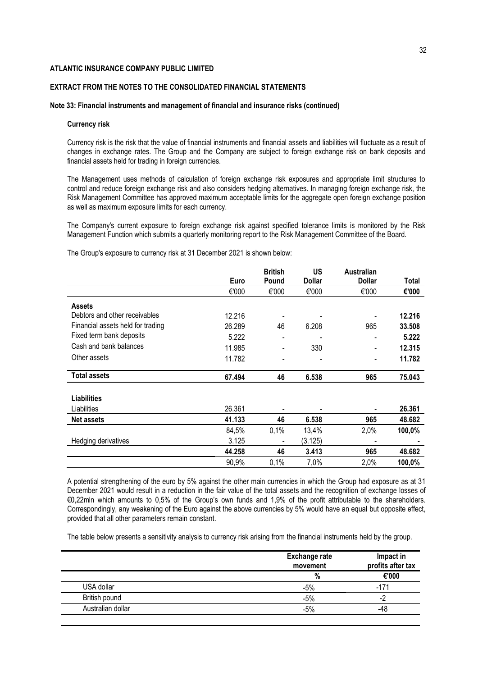## **EXTRACT FROM THE NOTES TO THE CONSOLIDATED FINANCIAL STATEMENTS**

#### **Note 33: Financial instruments and management of financial and insurance risks (continued)**

## **Currency risk**

Currency risk is the risk that the value of financial instruments and financial assets and liabilities will fluctuate as a result of changes in exchange rates. The Group and the Company are subject to foreign exchange risk on bank deposits and financial assets held for trading in foreign currencies.

The Management uses methods of calculation of foreign exchange risk exposures and appropriate limit structures to control and reduce foreign exchange risk and also considers hedging alternatives. In managing foreign exchange risk, the Risk Management Committee has approved maximum acceptable limits for the aggregate open foreign exchange position as well as maximum exposure limits for each currency.

The Company's current exposure to foreign exchange risk against specified tolerance limits is monitored by the Risk Management Function which submits a quarterly monitoring report to the Risk Management Committee of the Board.

The Group's exposure to currency risk at 31 December 2021 is shown below:

|                                   |        | <b>British</b> | US            | <b>Australian</b>            |        |
|-----------------------------------|--------|----------------|---------------|------------------------------|--------|
|                                   | Euro   | Pound          | <b>Dollar</b> | <b>Dollar</b>                | Total  |
|                                   | €'000  | €'000          | €'000         | €'000                        | €'000  |
| <b>Assets</b>                     |        |                |               |                              |        |
| Debtors and other receivables     | 12.216 |                |               |                              | 12.216 |
| Financial assets held for trading | 26.289 | 46             | 6.208         | 965                          | 33,508 |
| Fixed term bank deposits          | 5.222  |                |               |                              | 5.222  |
| Cash and bank balances            | 11.985 |                | 330           | $\qquad \qquad \blacksquare$ | 12.315 |
| Other assets                      | 11.782 |                |               | $\blacksquare$               | 11.782 |
| <b>Total assets</b>               | 67.494 | 46             | 6.538         | 965                          | 75.043 |
| <b>Liabilities</b>                |        |                |               |                              |        |
| Liabilities                       | 26.361 |                |               |                              | 26.361 |
| <b>Net assets</b>                 | 41.133 | 46             | 6.538         | 965                          | 48.682 |
|                                   | 84,5%  | 0,1%           | 13,4%         | 2,0%                         | 100,0% |
| Hedging derivatives               | 3.125  |                | (3.125)       |                              |        |
|                                   | 44.258 | 46             | 3.413         | 965                          | 48.682 |
|                                   | 90,9%  | 0,1%           | 7,0%          | 2,0%                         | 100,0% |

A potential strengthening of the euro by 5% against the other main currencies in which the Group had exposure as at 31 December 2021 would result in a reduction in the fair value of the total assets and the recognition of exchange losses of €0,22mln which amounts to 0,5% of the Group's own funds and 1,9% of the profit attributable to the shareholders. Correspondingly, any weakening of the Euro against the above currencies by 5% would have an equal but opposite effect, provided that all other parameters remain constant.

The table below presents a sensitivity analysis to currency risk arising from the financial instruments held by the group.

|                   | <b>Exchange rate</b><br>movement | Impact in<br>profits after tax |
|-------------------|----------------------------------|--------------------------------|
|                   | %                                | €'000                          |
| USA dollar        | -5%                              | $-171$                         |
| British pound     | $-5%$                            | ٠,                             |
| Australian dollar | $-5%$                            | -48                            |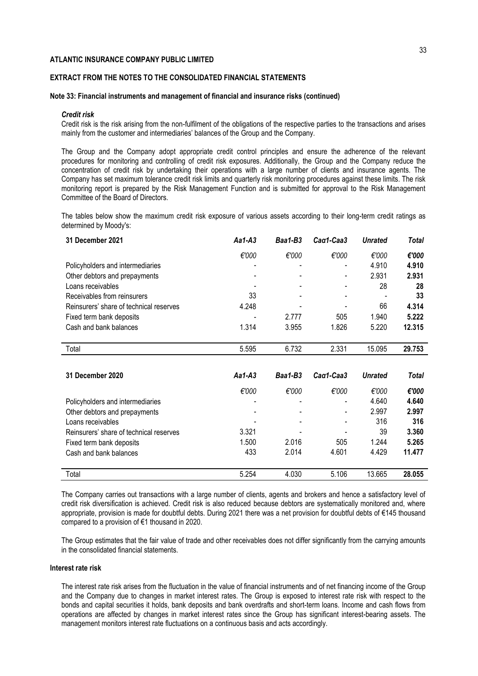# **EXTRACT FROM THE NOTES TO THE CONSOLIDATED FINANCIAL STATEMENTS**

#### **Note 33: Financial instruments and management of financial and insurance risks (continued)**

#### *Credit risk*

Credit risk is the risk arising from the non-fulfilment of the obligations of the respective parties to the transactions and arises mainly from the customer and intermediaries' balances of the Group and the Company.

The Group and the Company adopt appropriate credit control principles and ensure the adherence of the relevant procedures for monitoring and controlling of credit risk exposures. Additionally, the Group and the Company reduce the concentration of credit risk by undertaking their operations with a large number of clients and insurance agents. The Company has set maximum tolerance credit risk limits and quarterly risk monitoring procedures against these limits. The risk monitoring report is prepared by the Risk Management Function and is submitted for approval to the Risk Management Committee of the Board of Directors.

The tables below show the maximum credit risk exposure of various assets according to their long-term credit ratings as determined by Moody's:

| 31 December 2021                        | Aa1-A3   | Baa1-B3 | Cag1-Caa3 | <b>Unrated</b> | Total        |
|-----------------------------------------|----------|---------|-----------|----------------|--------------|
|                                         | €'000    | €'000   | €'000     | €'000          | €'000        |
| Policyholders and intermediaries        |          |         |           | 4.910          | 4.910        |
| Other debtors and prepayments           |          |         |           | 2.931          | 2.931        |
| Loans receivables                       |          |         |           | 28             | 28           |
| Receivables from reinsurers             | 33       |         |           |                | 33           |
| Reinsurers' share of technical reserves | 4.248    |         |           | 66             | 4.314        |
| Fixed term bank deposits                |          | 2.777   | 505       | 1.940          | 5.222        |
| Cash and bank balances                  | 1.314    | 3.955   | 1.826     | 5.220          | 12.315       |
|                                         |          |         |           |                |              |
| Total                                   | 5.595    | 6.732   | 2.331     | 15.095         | 29.753       |
|                                         |          |         |           |                |              |
| 31 December 2020                        | $Aa1-A3$ | Baa1-B3 | Cag1-Caa3 | <b>Unrated</b> | <b>Total</b> |
|                                         | €'000    | €'000   | €'000     | €'000          | €'000        |
| Policyholders and intermediaries        |          |         |           | 4.640          | 4.640        |
| Other debtors and prepayments           |          |         |           | 2.997          | 2.997        |
| Loans receivables                       |          |         |           | 316            | 316          |
| Reinsurers' share of technical reserves | 3.321    |         |           | 39             | 3.360        |
| Fixed term bank deposits                | 1.500    | 2.016   | 505       | 1.244          | 5.265        |
| Cash and bank balances                  | 433      | 2.014   | 4.601     | 4.429          | 11.477       |
|                                         |          |         |           |                |              |
| Total                                   | 5.254    | 4.030   | 5.106     | 13.665         | 28.055       |

The Company carries out transactions with a large number of clients, agents and brokers and hence a satisfactory level of credit risk diversification is achieved. Credit risk is also reduced because debtors are systematically monitored and, where appropriate, provision is made for doubtful debts. During 2021 there was a net provision for doubtful debts of €145 thousand compared to a provision of €1 thousand in 2020.

The Group estimates that the fair value of trade and other receivables does not differ significantly from the carrying amounts in the consolidated financial statements.

## **Interest rate risk**

The interest rate risk arises from the fluctuation in the value of financial instruments and of net financing income of the Group and the Company due to changes in market interest rates. The Group is exposed to interest rate risk with respect to the bonds and capital securities it holds, bank deposits and bank overdrafts and short-term loans. Income and cash flows from operations are affected by changes in market interest rates since the Group has significant interest-bearing assets. The management monitors interest rate fluctuations on a continuous basis and acts accordingly.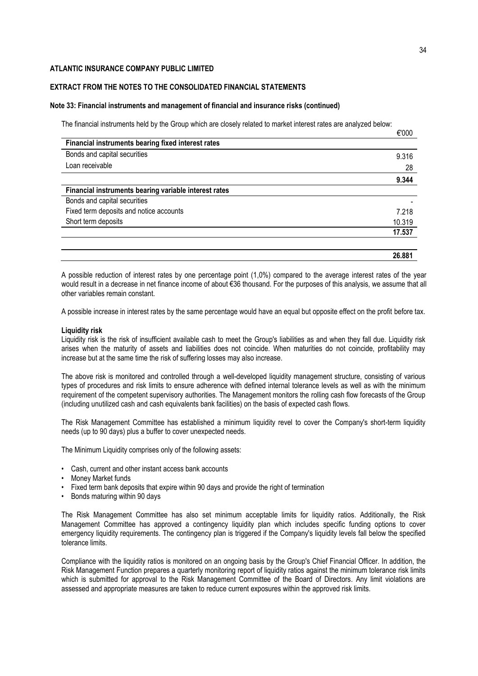## **EXTRACT FROM THE NOTES TO THE CONSOLIDATED FINANCIAL STATEMENTS**

#### **Note 33: Financial instruments and management of financial and insurance risks (continued)**

The financial instruments held by the Group which are closely related to market interest rates are analyzed below:

| 9.316  |
|--------|
| 28     |
| 9.344  |
|        |
|        |
| 7.218  |
| 10.319 |
| 17.537 |
| 26.881 |
|        |

A possible reduction of interest rates by one percentage point (1,0%) compared to the average interest rates of the year would result in a decrease in net finance income of about €36 thousand. For the purposes of this analysis, we assume that all other variables remain constant.

A possible increase in interest rates by the same percentage would have an equal but opposite effect on the profit before tax.

#### **Liquidity risk**

Liquidity risk is the risk of insufficient available cash to meet the Group's liabilities as and when they fall due. Liquidity risk arises when the maturity of assets and liabilities does not coincide. When maturities do not coincide, profitability may increase but at the same time the risk of suffering losses may also increase.

The above risk is monitored and controlled through a well-developed liquidity management structure, consisting of various types of procedures and risk limits to ensure adherence with defined internal tolerance levels as well as with the minimum requirement of the competent supervisory authorities. The Management monitors the rolling cash flow forecasts of the Group (including unutilized cash and cash equivalents bank facilities) on the basis of expected cash flows.

The Risk Management Committee has established a minimum liquidity revel to cover the Company's short-term liquidity needs (up to 90 days) plus a buffer to cover unexpected needs.

The Minimum Liquidity comprises only of the following assets:

- Cash, current and other instant access bank accounts
- Money Market funds
- Fixed term bank deposits that expire within 90 days and provide the right of termination
- Bonds maturing within 90 days

The Risk Management Committee has also set minimum acceptable limits for liquidity ratios. Additionally, the Risk Management Committee has approved a contingency liquidity plan which includes specific funding options to cover emergency liquidity requirements. The contingency plan is triggered if the Company's liquidity levels fall below the specified tolerance limits.

Compliance with the liquidity ratios is monitored on an ongoing basis by the Group's Chief Financial Officer. In addition, the Risk Management Function prepares a quarterly monitoring report of liquidity ratios against the minimum tolerance risk limits which is submitted for approval to the Risk Management Committee of the Board of Directors. Any limit violations are assessed and appropriate measures are taken to reduce current exposures within the approved risk limits.

€'000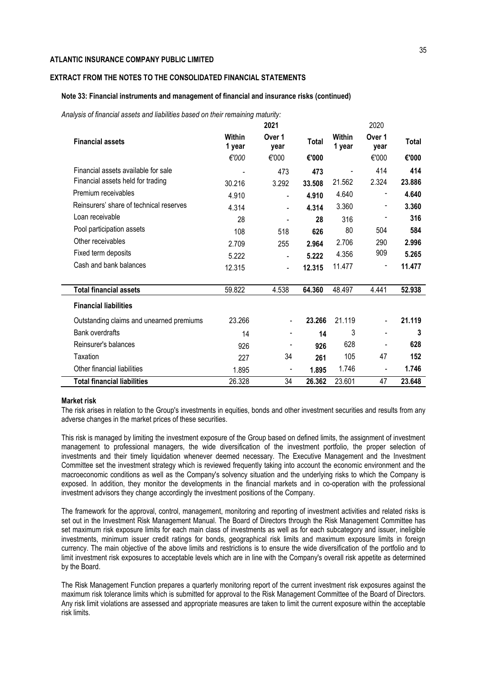# **EXTRACT FROM THE NOTES TO THE CONSOLIDATED FINANCIAL STATEMENTS**

#### **Note 33: Financial instruments and management of financial and insurance risks (continued)**

*Analysis of financial assets and liabilities based on their remaining maturity:*

|                                          |                  | 2021                     |        |                  | 2020                         |              |
|------------------------------------------|------------------|--------------------------|--------|------------------|------------------------------|--------------|
| <b>Financial assets</b>                  | Within<br>1 year | Over 1<br>year           | Total  | Within<br>1 year | Over 1<br>year               | <b>Total</b> |
|                                          | €'000            | €'000                    | €'000  |                  | €'000                        | €'000        |
| Financial assets available for sale      |                  | 473                      | 473    |                  | 414                          | 414          |
| Financial assets held for trading        | 30.216           | 3.292                    | 33.508 | 21.562           | 2.324                        | 23.886       |
| Premium receivables                      | 4.910            | $\overline{\phantom{a}}$ | 4.910  | 4.640            | -                            | 4.640        |
| Reinsurers' share of technical reserves  | 4.314            | $\blacksquare$           | 4.314  | 3.360            | -                            | 3.360        |
| Loan receivable                          | 28               |                          | 28     | 316              |                              | 316          |
| Pool participation assets                | 108              | 518                      | 626    | 80               | 504                          | 584          |
| Other receivables                        | 2.709            | 255                      | 2.964  | 2.706            | 290                          | 2.996        |
| Fixed term deposits                      | 5.222            | $\blacksquare$           | 5.222  | 4.356            | 909                          | 5.265        |
| Cash and bank balances                   | 12.315           | $\overline{\phantom{a}}$ | 12.315 | 11.477           | $\overline{a}$               | 11.477       |
|                                          |                  |                          |        |                  |                              |              |
| <b>Total financial assets</b>            | 59.822           | 4.538                    | 64.360 | 48.497           | 4.441                        | 52.938       |
| <b>Financial liabilities</b>             |                  |                          |        |                  |                              |              |
| Outstanding claims and unearned premiums | 23.266           | -                        | 23.266 | 21.119           | $\qquad \qquad \blacksquare$ | 21.119       |
| <b>Bank overdrafts</b>                   | 14               |                          | 14     | 3                |                              | 3            |
| Reinsurer's balances                     | 926              |                          | 926    | 628              |                              | 628          |
| Taxation                                 | 227              | 34                       | 261    | 105              | 47                           | 152          |
| Other financial liabilities              | 1.895            | $\overline{a}$           | 1.895  | 1.746            | ٠                            | 1.746        |
| <b>Total financial liabilities</b>       | 26.328           | 34                       | 26.362 | 23.601           | 47                           | 23.648       |

#### **Market risk**

The risk arises in relation to the Group's investments in equities, bonds and other investment securities and results from any adverse changes in the market prices of these securities.

This risk is managed by limiting the investment exposure of the Group based on defined limits, the assignment of investment management to professional managers, the wide diversification of the investment portfolio, the proper selection of investments and their timely liquidation whenever deemed necessary. The Executive Management and the Investment Committee set the investment strategy which is reviewed frequently taking into account the economic environment and the macroeconomic conditions as well as the Company's solvency situation and the underlying risks to which the Company is exposed. In addition, they monitor the developments in the financial markets and in co-operation with the professional investment advisors they change accordingly the investment positions of the Company.

The framework for the approval, control, management, monitoring and reporting of investment activities and related risks is set out in the Investment Risk Management Manual. The Board of Directors through the Risk Management Committee has set maximum risk exposure limits for each main class of investments as well as for each subcategory and issuer, ineligible investments, minimum issuer credit ratings for bonds, geographical risk limits and maximum exposure limits in foreign currency. The main objective of the above limits and restrictions is to ensure the wide diversification of the portfolio and to limit investment risk exposures to acceptable levels which are in line with the Company's overall risk appetite as determined by the Board.

The Risk Management Function prepares a quarterly monitoring report of the current investment risk exposures against the maximum risk tolerance limits which is submitted for approval to the Risk Management Committee of the Board of Directors. Any risk limit violations are assessed and appropriate measures are taken to limit the current exposure within the acceptable risk limits.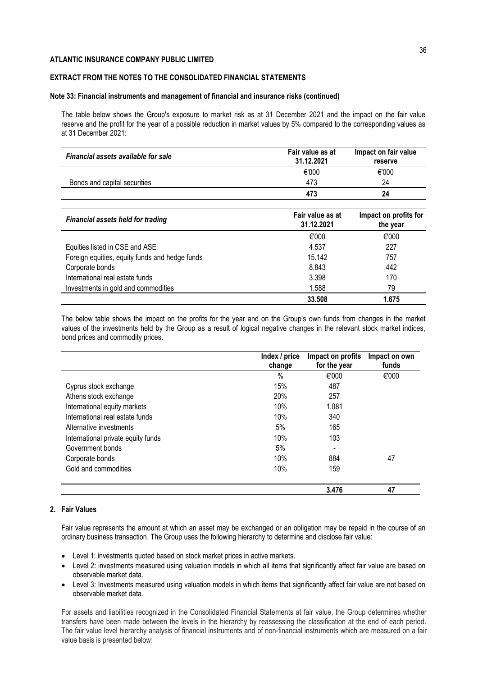## **EXTRACT FROM THE NOTES TO THE CONSOLIDATED FINANCIAL STATEMENTS**

#### **Note 33: Financial instruments and management of financial and insurance risks (continued)**

The table below shows the Group's exposure to market risk as at 31 December 2021 and the impact on the fair value reserve and the profit for the year of a possible reduction in market values by 5% compared to the corresponding values as at 31 December 2021:

| Financial assets available for sale            | Fair value as at<br>31.12.2021 | Impact on fair value<br>reserve   |
|------------------------------------------------|--------------------------------|-----------------------------------|
|                                                | €'000                          | €'000                             |
| Bonds and capital securities                   | 473                            | 24                                |
|                                                | 473                            | 24                                |
| <b>Financial assets held for trading</b>       | Fair value as at<br>31.12.2021 | Impact on profits for<br>the year |
|                                                | €'000                          | €'000                             |
| Equities listed in CSE and ASE                 | 4.537                          | 227                               |
| Foreign equities, equity funds and hedge funds | 15.142                         | 757                               |
| Corporate bonds                                | 8.843                          | 442                               |
| International real estate funds                | 3.398                          | 170                               |
| Investments in gold and commodities            | 1.588                          | 79                                |
|                                                | 33.508                         | 1.675                             |

The below table shows the impact on the profits for the year and on the Group's own funds from changes in the market values of the investments held by the Group as a result of logical negative changes in the relevant stock market indices, bond prices and commodity prices.

|                                    | Index / price<br>change | Impact on profits<br>for the year | Impact on own<br>funds |
|------------------------------------|-------------------------|-----------------------------------|------------------------|
|                                    | %                       | €'000                             | €'000                  |
| Cyprus stock exchange              | 15%                     | 487                               |                        |
| Athens stock exchange              | <b>20%</b>              | 257                               |                        |
| International equity markets       | 10%                     | 1.081                             |                        |
| International real estate funds    | 10%                     | 340                               |                        |
| Alternative investments            | 5%                      | 165                               |                        |
| International private equity funds | 10%                     | 103                               |                        |
| Government bonds                   | 5%                      |                                   |                        |
| Corporate bonds                    | 10%                     | 884                               | 47                     |
| Gold and commodities               | 10%                     | 159                               |                        |
|                                    |                         | 3.476                             | 47                     |

## **2. Fair Values**

Fair value represents the amount at which an asset may be exchanged or an obligation may be repaid in the course of an ordinary business transaction. The Group uses the following hierarchy to determine and disclose fair value:

- Level 1: investments quoted based on stock market prices in active markets.
- Level 2: investments measured using valuation models in which all items that significantly affect fair value are based on observable market data.
- Level 3: Investments measured using valuation models in which items that significantly affect fair value are not based on observable market data.

For assets and liabilities recognized in the Consolidated Financial Statements at fair value, the Group determines whether transfers have been made between the levels in the hierarchy by reassessing the classification at the end of each period. The fair value level hierarchy analysis of financial instruments and of non-financial instruments which are measured on a fair value basis is presented below: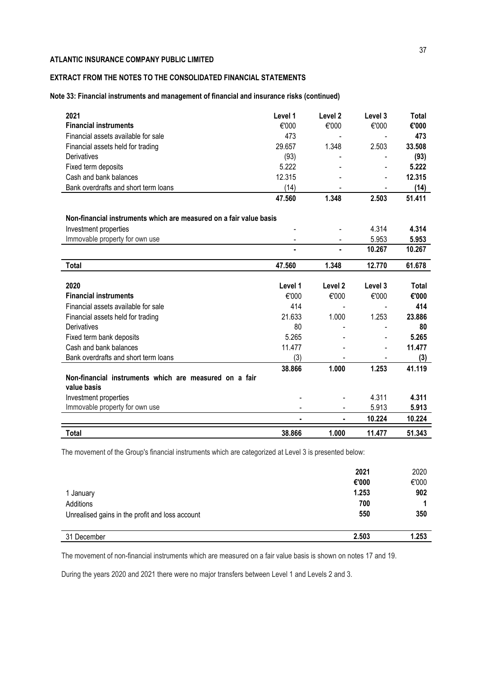# **EXTRACT FROM THE NOTES TO THE CONSOLIDATED FINANCIAL STATEMENTS**

## **Note 33: Financial instruments and management of financial and insurance risks (continued)**

| 2021                                                               | Level 1 | Level <sub>2</sub> | Level 3 | <b>Total</b> |
|--------------------------------------------------------------------|---------|--------------------|---------|--------------|
| <b>Financial instruments</b>                                       | €'000   | €'000              | €'000   | €'000        |
| Financial assets available for sale                                | 473     |                    |         | 473          |
| Financial assets held for trading                                  | 29.657  | 1.348              | 2.503   | 33.508       |
| Derivatives                                                        | (93)    |                    |         | (93)         |
| Fixed term deposits                                                | 5.222   |                    |         | 5.222        |
| Cash and bank balances                                             | 12.315  |                    |         | 12.315       |
| Bank overdrafts and short term loans                               | (14)    |                    |         | (14)         |
|                                                                    | 47.560  | 1.348              | 2.503   | 51.411       |
| Non-financial instruments which are measured on a fair value basis |         |                    |         |              |
| Investment properties                                              |         |                    | 4.314   | 4.314        |
| Immovable property for own use                                     |         |                    | 5.953   | 5.953        |
|                                                                    |         | ä,                 | 10.267  | 10.267       |
| Total                                                              | 47.560  | 1.348              | 12.770  | 61.678       |
| 2020                                                               | Level 1 | Level 2            | Level 3 | Total        |
| <b>Financial instruments</b>                                       | €'000   | €'000              | €'000   | €'000        |
| Financial assets available for sale                                | 414     |                    |         | 414          |
| Financial assets held for trading                                  | 21.633  | 1.000              | 1.253   | 23.886       |
| Derivatives                                                        | 80      |                    |         | 80           |
| Fixed term bank deposits                                           | 5.265   |                    |         | 5.265        |
| Cash and bank balances                                             | 11.477  |                    |         | 11.477       |
| Bank overdrafts and short term loans                               | (3)     |                    |         | (3)          |
|                                                                    | 38.866  | 1.000              | 1.253   | 41.119       |
| Non-financial instruments which are measured on a fair             |         |                    |         |              |
| value basis                                                        |         |                    |         |              |
| Investment properties                                              |         |                    | 4.311   | 4.311        |
| Immovable property for own use                                     |         |                    | 5.913   | 5.913        |
|                                                                    | ٠       | ٠                  | 10.224  | 10.224       |
| <b>Total</b>                                                       | 38.866  | 1.000              | 11.477  | 51.343       |

The movement of the Group's financial instruments which are categorized at Level 3 is presented below:

|                                                 | 2021<br>€'000 | 2020<br>€'000 |
|-------------------------------------------------|---------------|---------------|
| 1 January                                       | 1.253         | 902           |
| Additions                                       | 700           |               |
| Unrealised gains in the profit and loss account | 550           | 350           |
| 31 December                                     | 2.503         | 1.253         |

The movement of non-financial instruments which are measured on a fair value basis is shown on notes 17 and 19.

During the years 2020 and 2021 there were no major transfers between Level 1 and Levels 2 and 3.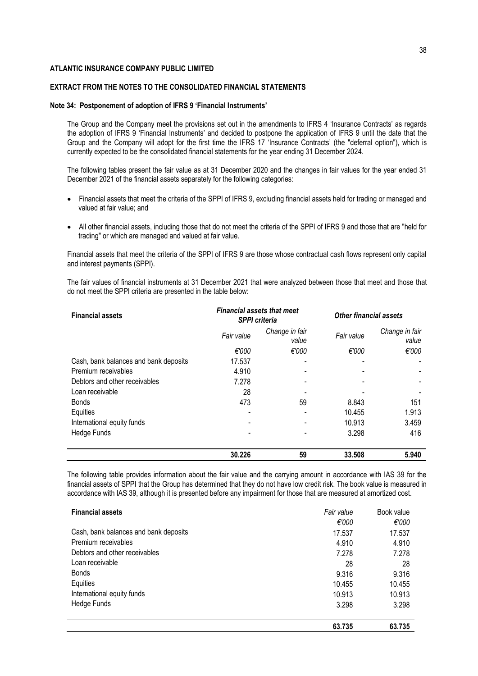## **EXTRACT FROM THE NOTES TO THE CONSOLIDATED FINANCIAL STATEMENTS**

#### **Note 34: Postponement of adoption of IFRS 9 'Financial Instruments'**

The Group and the Company meet the provisions set out in the amendments to IFRS 4 'Insurance Contracts' as regards the adoption of IFRS 9 'Financial Instruments' and decided to postpone the application of IFRS 9 until the date that the Group and the Company will adopt for the first time the IFRS 17 'Insurance Contracts' (the "deferral option"), which is currently expected to be the consolidated financial statements for the year ending 31 December 2024.

The following tables present the fair value as at 31 December 2020 and the changes in fair values for the year ended 31 December 2021 of the financial assets separately for the following categories:

- Financial assets that meet the criteria of the SPPI of IFRS 9, excluding financial assets held for trading or managed and valued at fair value; and
- All other financial assets, including those that do not meet the criteria of the SPPI of IFRS 9 and those that are "held for trading" or which are managed and valued at fair value.

Financial assets that meet the criteria of the SPPI of IFRS 9 are those whose contractual cash flows represent only capital and interest payments (SPPI).

The fair values of financial instruments at 31 December 2021 that were analyzed between those that meet and those that do not meet the SPPI criteria are presented in the table below:

| <b>Financial assets</b>               | <b>Financial assets that meet</b><br><b>SPPI</b> criteria |                         | <b>Other financial assets</b> |                         |  |
|---------------------------------------|-----------------------------------------------------------|-------------------------|-------------------------------|-------------------------|--|
|                                       | Fair value                                                | Change in fair<br>value | Fair value                    | Change in fair<br>value |  |
|                                       | €'000                                                     | €'000                   | €'000                         | €'000                   |  |
| Cash, bank balances and bank deposits | 17.537                                                    |                         |                               |                         |  |
| Premium receivables                   | 4.910                                                     |                         |                               |                         |  |
| Debtors and other receivables         | 7.278                                                     |                         |                               |                         |  |
| Loan receivable                       | 28                                                        |                         |                               |                         |  |
| <b>Bonds</b>                          | 473                                                       | 59                      | 8.843                         | 151                     |  |
| Equities                              |                                                           |                         | 10.455                        | 1.913                   |  |
| International equity funds            |                                                           |                         | 10.913                        | 3.459                   |  |
| Hedge Funds                           |                                                           |                         | 3.298                         | 416                     |  |
|                                       | 30.226                                                    | 59                      | 33.508                        | 5.940                   |  |

The following table provides information about the fair value and the carrying amount in accordance with IAS 39 for the financial assets of SPPI that the Group has determined that they do not have low credit risk. The book value is measured in accordance with IAS 39, although it is presented before any impairment for those that are measured at amortized cost.

| <b>Financial assets</b>               | Fair value                                        | Book value |
|---------------------------------------|---------------------------------------------------|------------|
|                                       | €'000                                             | €'000      |
| Cash, bank balances and bank deposits | 17.537<br>4.910<br>7.278<br>28<br>9.316<br>10.455 | 17.537     |
| Premium receivables                   |                                                   | 4.910      |
| Debtors and other receivables         |                                                   | 7.278      |
| Loan receivable                       |                                                   | 28         |
| <b>Bonds</b>                          |                                                   | 9.316      |
| Equities                              |                                                   | 10.455     |
| International equity funds            | 10.913                                            | 10.913     |
| Hedge Funds                           | 3.298                                             | 3.298      |
|                                       | 63.735                                            | 63.735     |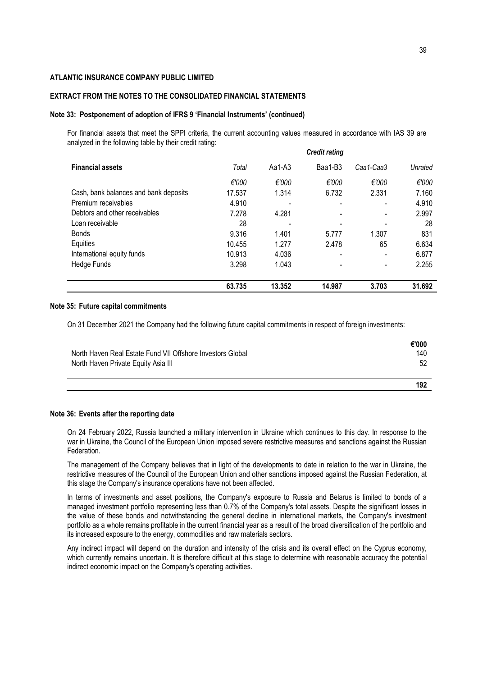## **EXTRACT FROM THE NOTES TO THE CONSOLIDATED FINANCIAL STATEMENTS**

#### **Note 33: Postponement of adoption of IFRS 9 'Financial Instruments' (continued)**

For financial assets that meet the SPPI criteria, the current accounting values measured in accordance with IAS 39 are analyzed in the following table by their credit rating:

|                                       |        |        | <b>Credit rating</b> |                          |         |
|---------------------------------------|--------|--------|----------------------|--------------------------|---------|
| <b>Financial assets</b>               | Total  | Aa1-A3 | Baa1-B3              | Caa1-Caa3                | Unrated |
|                                       | €'000  | €'000  | €'000                | €'000                    | €'000   |
| Cash, bank balances and bank deposits | 17.537 | 1.314  | 6.732                | 2.331                    | 7.160   |
| Premium receivables                   | 4.910  |        | -                    |                          | 4.910   |
| Debtors and other receivables         | 7.278  | 4.281  |                      |                          | 2.997   |
| Loan receivable                       | 28     |        |                      | $\blacksquare$           | 28      |
| <b>Bonds</b>                          | 9.316  | 1.401  | 5.777                | 1.307                    | 831     |
| Equities                              | 10.455 | 1.277  | 2.478                | 65                       | 6.634   |
| International equity funds            | 10.913 | 4.036  | ٠                    | $\overline{\phantom{0}}$ | 6.877   |
| Hedge Funds                           | 3.298  | 1.043  |                      |                          | 2.255   |
|                                       | 63.735 | 13.352 | 14.987               | 3.703                    | 31.692  |

## **Note 35: Future capital commitments**

On 31 December 2021 the Company had the following future capital commitments in respect of foreign investments:

|                                                            | €'000 |
|------------------------------------------------------------|-------|
| North Haven Real Estate Fund VII Offshore Investors Global | 140   |
| North Haven Private Equity Asia III                        | 52    |
|                                                            |       |
|                                                            | 192   |

#### **Note 36: Events after the reporting date**

On 24 February 2022, Russia launched a military intervention in Ukraine which continues to this day. In response to the war in Ukraine, the Council of the European Union imposed severe restrictive measures and sanctions against the Russian Federation.

The management of the Company believes that in light of the developments to date in relation to the war in Ukraine, the restrictive measures of the Council of the European Union and other sanctions imposed against the Russian Federation, at this stage the Company's insurance operations have not been affected.

In terms of investments and asset positions, the Company's exposure to Russia and Belarus is limited to bonds of a managed investment portfolio representing less than 0.7% of the Company's total assets. Despite the significant losses in the value of these bonds and notwithstanding the general decline in international markets, the Company's investment portfolio as a whole remains profitable in the current financial year as a result of the broad diversification of the portfolio and its increased exposure to the energy, commodities and raw materials sectors.

Any indirect impact will depend on the duration and intensity of the crisis and its overall effect on the Cyprus economy, which currently remains uncertain. It is therefore difficult at this stage to determine with reasonable accuracy the potential indirect economic impact on the Company's operating activities.